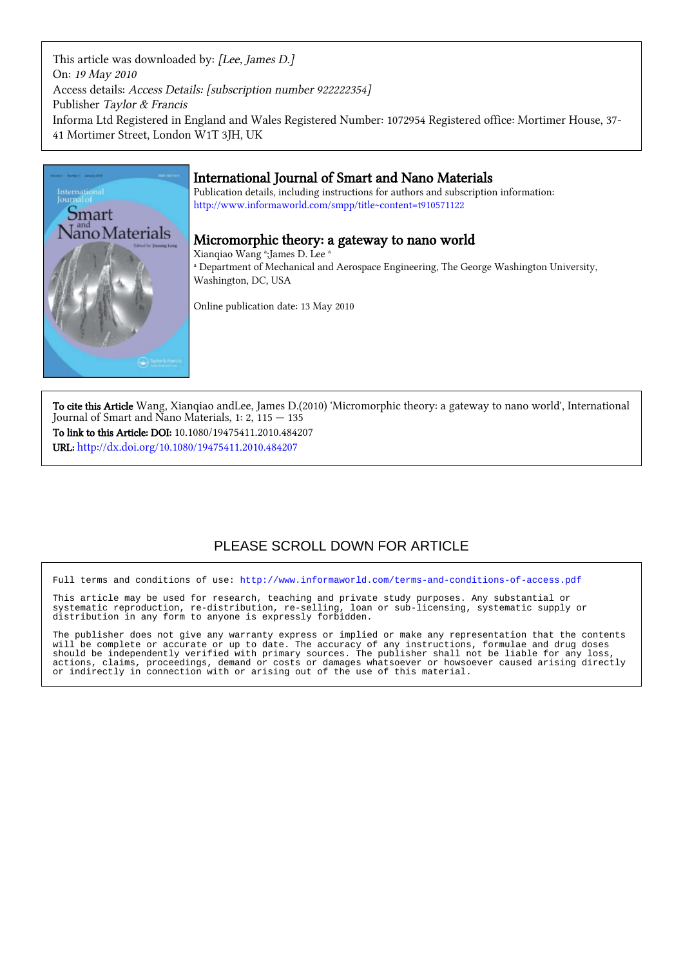This article was downloaded by: [Lee, James D.] On: 19 May 2010 Access details: Access Details: [subscription number 922222354] Publisher Taylor & Francis Informa Ltd Registered in England and Wales Registered Number: 1072954 Registered office: Mortimer House, 37- 41 Mortimer Street, London W1T 3JH, UK



# International Journal of Smart and Nano Materials

Publication details, including instructions for authors and subscription information: <http://www.informaworld.com/smpp/title~content=t910571122>

## Micromorphic theory: a gateway to nano world

Xianqiao Wang <sup>a</sup>;James D. Lee <sup>a</sup> a Department of Mechanical and Aerospace Engineering, The George Washington University, Washington, DC, USA

Online publication date: 13 May 2010

To cite this Article Wang, Xianqiao andLee, James D.(2010) 'Micromorphic theory: a gateway to nano world', International Journal of Smart and Nano Materials, 1: 2, 115 — 135 To link to this Article: DOI: 10.1080/19475411.2010.484207

URL: <http://dx.doi.org/10.1080/19475411.2010.484207>

# PLEASE SCROLL DOWN FOR ARTICLE

Full terms and conditions of use:<http://www.informaworld.com/terms-and-conditions-of-access.pdf>

This article may be used for research, teaching and private study purposes. Any substantial or systematic reproduction, re-distribution, re-selling, loan or sub-licensing, systematic supply or distribution in any form to anyone is expressly forbidden.

The publisher does not give any warranty express or implied or make any representation that the contents will be complete or accurate or up to date. The accuracy of any instructions, formulae and drug doses should be independently verified with primary sources. The publisher shall not be liable for any loss, actions, claims, proceedings, demand or costs or damages whatsoever or howsoever caused arising directly or indirectly in connection with or arising out of the use of this material.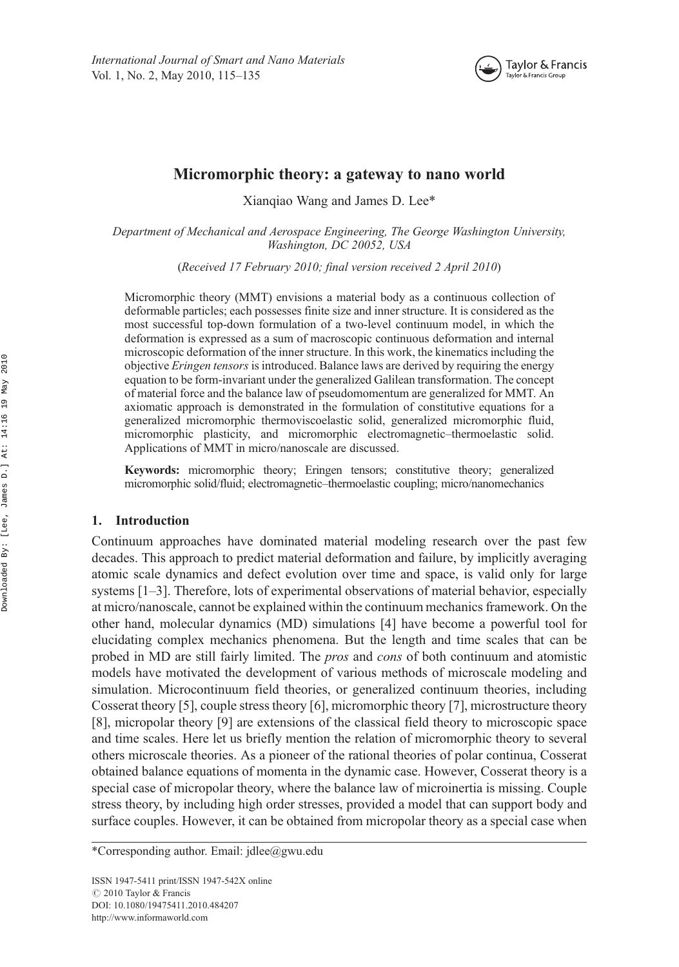

## Micromorphic theory: a gateway to nano world

Xianqiao Wang and James D. Lee\*

Department of Mechanical and Aerospace Engineering, The George Washington University, Washington, DC 20052, USA

(Received 17 February 2010; final version received 2 April 2010)

Micromorphic theory (MMT) envisions a material body as a continuous collection of deformable particles; each possesses finite size and inner structure. It is considered as the most successful top-down formulation of a two-level continuum model, in which the deformation is expressed as a sum of macroscopic continuous deformation and internal microscopic deformation of the inner structure. In this work, the kinematics including the objective Eringen tensors is introduced. Balance laws are derived by requiring the energy equation to be form-invariant under the generalized Galilean transformation. The concept of material force and the balance law of pseudomomentum are generalized for MMT. An axiomatic approach is demonstrated in the formulation of constitutive equations for a generalized micromorphic thermoviscoelastic solid, generalized micromorphic fluid, micromorphic plasticity, and micromorphic electromagnetic–thermoelastic solid. Applications of MMT in micro/nanoscale are discussed.

Keywords: micromorphic theory; Eringen tensors; constitutive theory; generalized micromorphic solid/fluid; electromagnetic–thermoelastic coupling; micro/nanomechanics

#### 1. Introduction

Continuum approaches have dominated material modeling research over the past few decades. This approach to predict material deformation and failure, by implicitly averaging atomic scale dynamics and defect evolution over time and space, is valid only for large systems [1–3]. Therefore, lots of experimental observations of material behavior, especially at micro/nanoscale, cannot be explained within the continuum mechanics framework. On the other hand, molecular dynamics (MD) simulations [4] have become a powerful tool for elucidating complex mechanics phenomena. But the length and time scales that can be probed in MD are still fairly limited. The pros and cons of both continuum and atomistic models have motivated the development of various methods of microscale modeling and simulation. Microcontinuum field theories, or generalized continuum theories, including Cosserat theory [5], couple stress theory [6], micromorphic theory [7], microstructure theory [8], micropolar theory [9] are extensions of the classical field theory to microscopic space and time scales. Here let us briefly mention the relation of micromorphic theory to several others microscale theories. As a pioneer of the rational theories of polar continua, Cosserat obtained balance equations of momenta in the dynamic case. However, Cosserat theory is a special case of micropolar theory, where the balance law of microinertia is missing. Couple stress theory, by including high order stresses, provided a model that can support body and surface couples. However, it can be obtained from micropolar theory as a special case when

ISSN 1947-5411 print/ISSN 1947-542X online C 2010 Taylor & Francis DOI: 10.1080/19475411.2010.484207 <http://www.informaworld.com>

<sup>\*</sup>Corresponding author. Email: [jdlee@gwu.edu](mailto:jdlee@gwu.edu)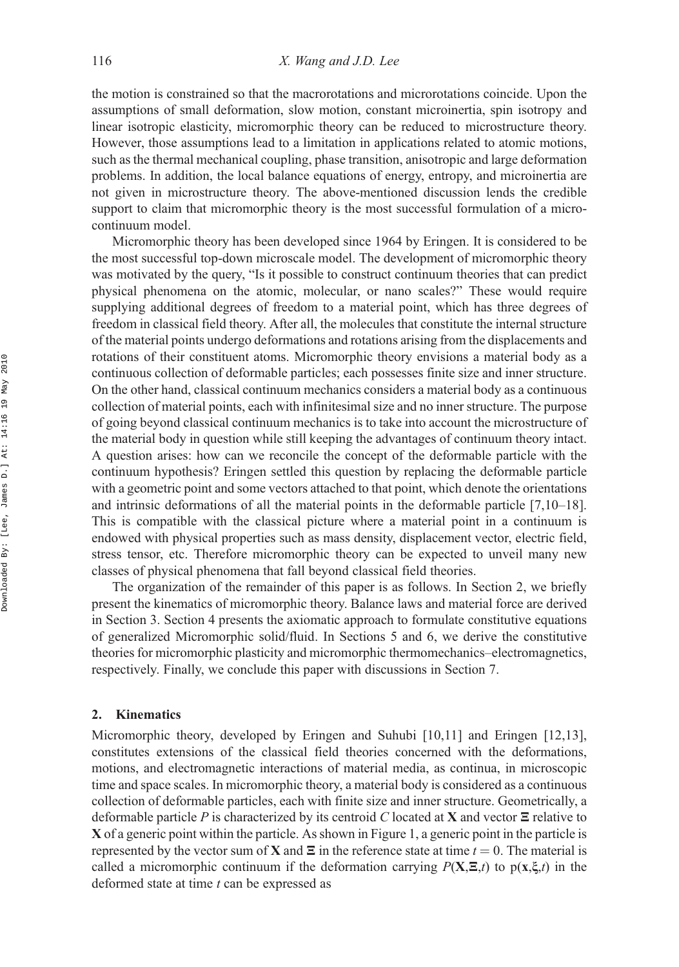the motion is constrained so that the macrorotations and microrotations coincide. Upon the assumptions of small deformation, slow motion, constant microinertia, spin isotropy and linear isotropic elasticity, micromorphic theory can be reduced to microstructure theory. However, those assumptions lead to a limitation in applications related to atomic motions, such as the thermal mechanical coupling, phase transition, anisotropic and large deformation problems. In addition, the local balance equations of energy, entropy, and microinertia are not given in microstructure theory. The above-mentioned discussion lends the credible support to claim that micromorphic theory is the most successful formulation of a microcontinuum model.

Micromorphic theory has been developed since 1964 by Eringen. It is considered to be the most successful top-down microscale model. The development of micromorphic theory was motivated by the query, "Is it possible to construct continuum theories that can predict physical phenomena on the atomic, molecular, or nano scales?" These would require supplying additional degrees of freedom to a material point, which has three degrees of freedom in classical field theory. After all, the molecules that constitute the internal structure of the material points undergo deformations and rotations arising from the displacements and rotations of their constituent atoms. Micromorphic theory envisions a material body as a continuous collection of deformable particles; each possesses finite size and inner structure. On the other hand, classical continuum mechanics considers a material body as a continuous collection of material points, each with infinitesimal size and no inner structure. The purpose of going beyond classical continuum mechanics is to take into account the microstructure of the material body in question while still keeping the advantages of continuum theory intact. A question arises: how can we reconcile the concept of the deformable particle with the continuum hypothesis? Eringen settled this question by replacing the deformable particle with a geometric point and some vectors attached to that point, which denote the orientations and intrinsic deformations of all the material points in the deformable particle [7,10–18]. This is compatible with the classical picture where a material point in a continuum is endowed with physical properties such as mass density, displacement vector, electric field, stress tensor, etc. Therefore micromorphic theory can be expected to unveil many new classes of physical phenomena that fall beyond classical field theories.

The organization of the remainder of this paper is as follows. In Section 2, we briefly present the kinematics of micromorphic theory. Balance laws and material force are derived in Section 3. Section 4 presents the axiomatic approach to formulate constitutive equations of generalized Micromorphic solid/fluid. In Sections 5 and 6, we derive the constitutive theories for micromorphic plasticity and micromorphic thermomechanics–electromagnetics, respectively. Finally, we conclude this paper with discussions in Section 7.

#### 2. Kinematics

Micromorphic theory, developed by Eringen and Suhubi [10,11] and Eringen [12,13], constitutes extensions of the classical field theories concerned with the deformations, motions, and electromagnetic interactions of material media, as continua, in microscopic time and space scales. In micromorphic theory, a material body is considered as a continuous collection of deformable particles, each with finite size and inner structure. Geometrically, a deformable particle P is characterized by its centroid C located at **X** and vector  $\Xi$  relative to X of a generic point within the particle. As shown in Figure 1, a generic point in the particle is represented by the vector sum of **X** and  $\Xi$  in the reference state at time  $t = 0$ . The material is called a micromorphic continuum if the deformation carrying  $P(X,\Xi,t)$  to  $p(x,\xi,t)$  in the deformed state at time t can be expressed as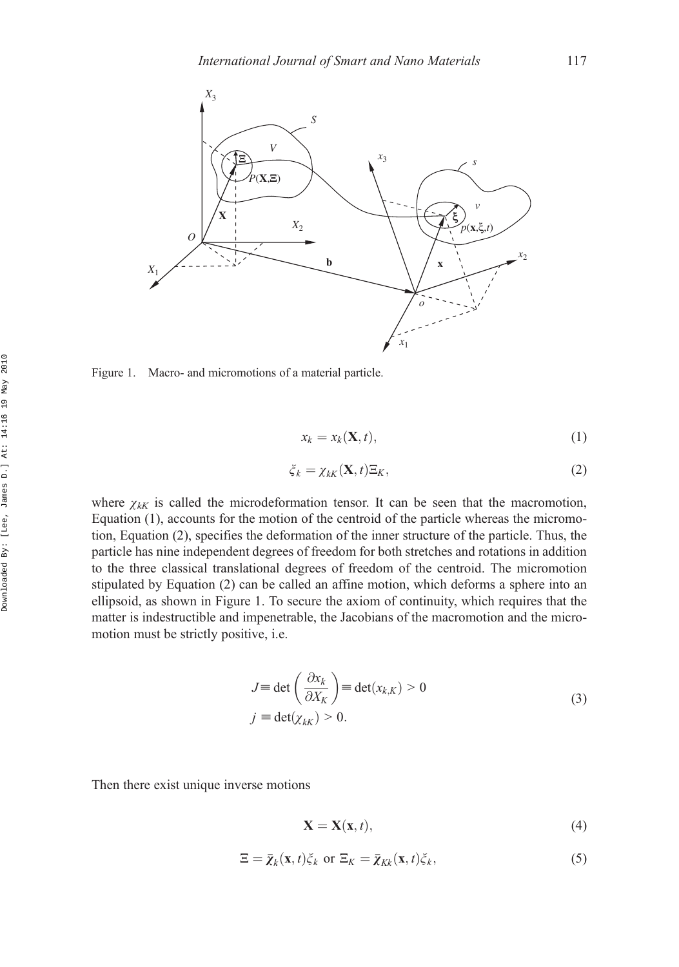

Figure 1. Macro- and micromotions of a material particle.

$$
x_k = x_k(\mathbf{X}, t),\tag{1}
$$

$$
\zeta_k = \chi_{kk}(\mathbf{X}, t) \Xi_k,\tag{2}
$$

where  $\chi_{k}$  is called the microdeformation tensor. It can be seen that the macromotion, Equation (1), accounts for the motion of the centroid of the particle whereas the micromotion, Equation (2), specifies the deformation of the inner structure of the particle. Thus, the particle has nine independent degrees of freedom for both stretches and rotations in addition to the three classical translational degrees of freedom of the centroid. The micromotion stipulated by Equation (2) can be called an affine motion, which deforms a sphere into an ellipsoid, as shown in Figure 1. To secure the axiom of continuity, which requires that the matter is indestructible and impenetrable, the Jacobians of the macromotion and the micromotion must be strictly positive, i.e.

$$
J \equiv \det \left( \frac{\partial x_k}{\partial X_K} \right) \equiv \det(x_{k,K}) > 0
$$
  
\n
$$
j \equiv \det(\chi_{kk}) > 0.
$$
\n(3)

Then there exist unique inverse motions

$$
\mathbf{X} = \mathbf{X}(\mathbf{x}, t),\tag{4}
$$

$$
\Xi = \bar{\chi}_k(\mathbf{x}, t)\xi_k \text{ or } \Xi_K = \bar{\chi}_{Kk}(\mathbf{x}, t)\xi_k,
$$
\n(5)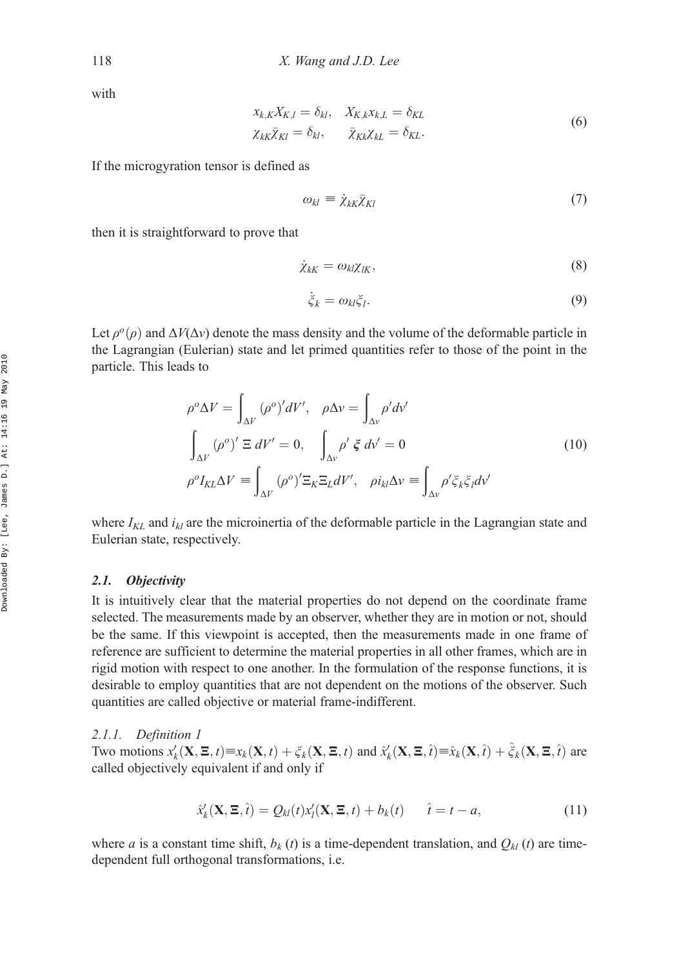with

$$
x_{k,K}X_{K,l} = \delta_{kl}, \quad X_{K,k}x_{k,L} = \delta_{KL}
$$
  

$$
\chi_{kK}\bar{\chi}_{Kl} = \delta_{kl}, \quad \bar{\chi}_{Kk}\chi_{kL} = \delta_{KL}.
$$
  
(6)

If the microgyration tensor is defined as

$$
\omega_{kl} \equiv \dot{\chi}_{kk} \bar{\chi}_{kl} \tag{7}
$$

then it is straightforward to prove that

$$
\dot{\chi}_{kK} = \omega_{kl}\chi_{lK},\tag{8}
$$

$$
\dot{\zeta}_k = \omega_{kl} \zeta_l. \tag{9}
$$

Let  $\rho^{\circ}(\rho)$  and  $\Delta V(\Delta v)$  denote the mass density and the volume of the deformable particle in the Lagrangian (Eulerian) state and let primed quantities refer to those of the point in the particle. This leads to

$$
\rho^o \Delta V = \int_{\Delta V} (\rho^o)' dV', \quad \rho \Delta v = \int_{\Delta v} \rho' dv'
$$
  

$$
\int_{\Delta V} (\rho^o)' \Xi dV' = 0, \quad \int_{\Delta v} \rho' \xi dv' = 0
$$
  

$$
\rho^o I_{KL} \Delta V = \int_{\Delta V} (\rho^o)' \Xi_K \Xi_L dV', \quad \rho i_{kl} \Delta v = \int_{\Delta v} \rho' \xi_k \xi_l dv'
$$
 (10)

where  $I_{KL}$  and  $i_{kl}$  are the microinertia of the deformable particle in the Lagrangian state and Eulerian state, respectively.

#### 2.1. Objectivity

It is intuitively clear that the material properties do not depend on the coordinate frame selected. The measurements made by an observer, whether they are in motion or not, should be the same. If this viewpoint is accepted, then the measurements made in one frame of reference are sufficient to determine the material properties in all other frames, which are in rigid motion with respect to one another. In the formulation of the response functions, it is desirable to employ quantities that are not dependent on the motions of the observer. Such quantities are called objective or material frame-indifferent.

2.1.1. Definition 1

Two motions  $x'_k$   $(\mathbf{X}, \boldsymbol{\Xi}, t) = x_k(\mathbf{X}, t) + \xi_k(\mathbf{X}, \boldsymbol{\Xi}, t)$  and  $\hat{x}'_k(\mathbf{X}, \boldsymbol{\Xi}, \hat{t}) = \hat{x}_k(\mathbf{X}, \hat{t}) + \hat{\xi}_k(\mathbf{X}, \boldsymbol{\Xi}, \hat{t})$  are called objectively equivalent if and only if called objectively equivalent if and only if

$$
\hat{x}'_k(\mathbf{X}, \mathbf{\Xi}, \hat{t}) = Q_{kl}(t)x'_l(\mathbf{X}, \mathbf{\Xi}, t) + b_k(t) \qquad \hat{t} = t - a,\tag{11}
$$

where *a* is a constant time shift,  $b_k(t)$  is a time-dependent translation, and  $Q_{kl}(t)$  are timedependent full orthogonal transformations, i.e.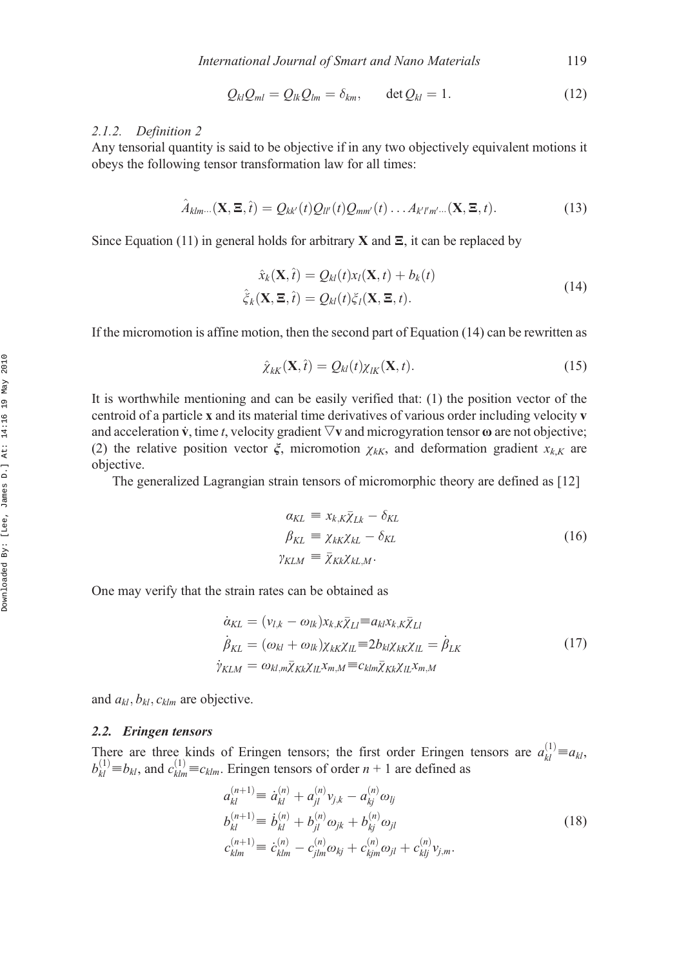$$
Q_{kl}Q_{ml} = Q_{lk}Q_{lm} = \delta_{km}, \qquad \det Q_{kl} = 1. \tag{12}
$$

#### 2.1.2. Definition 2

Any tensorial quantity is said to be objective if in any two objectively equivalent motions it obeys the following tensor transformation law for all times:

$$
\hat{A}_{klm\cdots}(\mathbf{X},\boldsymbol{\Xi},\hat{t}) = Q_{kk'}(t)Q_{ll'}(t)Q_{mm'}(t)\ldots A_{k'l'm'\cdots}(\mathbf{X},\boldsymbol{\Xi},t).
$$
\n(13)

Since Equation (11) in general holds for arbitrary **X** and  $\Xi$ , it can be replaced by

$$
\hat{x}_{k}(\mathbf{X}, \hat{t}) = Q_{kl}(t)x_{l}(\mathbf{X}, t) + b_{k}(t)
$$
\n
$$
\hat{\xi}_{k}(\mathbf{X}, \mathbf{\Xi}, \hat{t}) = Q_{kl}(t)\xi_{l}(\mathbf{X}, \mathbf{\Xi}, t).
$$
\n(14)

If the micromotion is affine motion, then the second part of Equation (14) can be rewritten as

$$
\hat{\chi}_{kk}(\mathbf{X},\hat{t}) = Q_{kl}(t)\chi_{lk}(\mathbf{X},t). \tag{15}
$$

It is worthwhile mentioning and can be easily verified that: (1) the position vector of the centroid of a particle x and its material time derivatives of various order including velocity v and acceleration  $\dot{v}$ , time t, velocity gradient  $\nabla v$  and microgyration tensor  $\omega$  are not objective; (2) the relative position vector  $\xi$ , micromotion  $\chi_{kk}$ , and deformation gradient  $x_{k,K}$  are objective.

The generalized Lagrangian strain tensors of micromorphic theory are defined as [12]

$$
\alpha_{KL} \equiv x_{k,K} \overline{\chi}_{lk} - \delta_{KL}
$$
\n
$$
\beta_{KL} \equiv \chi_{kk} \chi_{kl} - \delta_{KL}
$$
\n
$$
\gamma_{KLM} \equiv \overline{\chi}_{KK} \chi_{kl,M}.
$$
\n(16)

One may verify that the strain rates can be obtained as

$$
\dot{a}_{KL} = (v_{l,k} - \omega_{lk})x_{k,K}\bar{\chi}_{Ll} \equiv a_{kl}x_{k,K}\bar{\chi}_{Ll} \n\dot{\beta}_{KL} = (\omega_{kl} + \omega_{lk})\chi_{kk}\chi_{ll} \equiv 2b_{kl}\chi_{kk}\chi_{ll} = \dot{\beta}_{LK} \n\dot{\gamma}_{KLM} = \omega_{kl,m}\bar{\chi}_{kk}\chi_{ll}x_{m,M} \equiv c_{klm}\bar{\chi}_{KK}\chi_{ll}x_{m,M}
$$
\n(17)

and  $a_{kl}$ ,  $b_{kl}$ ,  $c_{klm}$  are objective.

#### 2.2. Eringen tensors

There are three kinds of Eringen tensors; the first order Eringen tensors are  $a_{kl}^{(1)} \equiv a_{kl}$ ,  $b_{kl}^{(1)} \equiv b_{kl}$ , and  $c_{klm}^{(1)} \equiv c_{klm}$ . Eringen tensors of order  $n + 1$  are defined as

$$
a_{kl}^{(n+1)} \equiv \dot{a}_{kl}^{(n)} + a_{jl}^{(n)} v_{j,k} - a_{kj}^{(n)} \omega_{lj}
$$
  
\n
$$
b_{kl}^{(n+1)} \equiv \dot{b}_{kl}^{(n)} + b_{jl}^{(n)} \omega_{jk} + b_{kj}^{(n)} \omega_{jl}
$$
  
\n
$$
c_{klm}^{(n+1)} \equiv \dot{c}_{klm}^{(n)} - c_{jlm}^{(n)} \omega_{kj} + c_{kjm}^{(n)} \omega_{jl} + c_{klj}^{(n)} v_{j,m}.
$$
\n(18)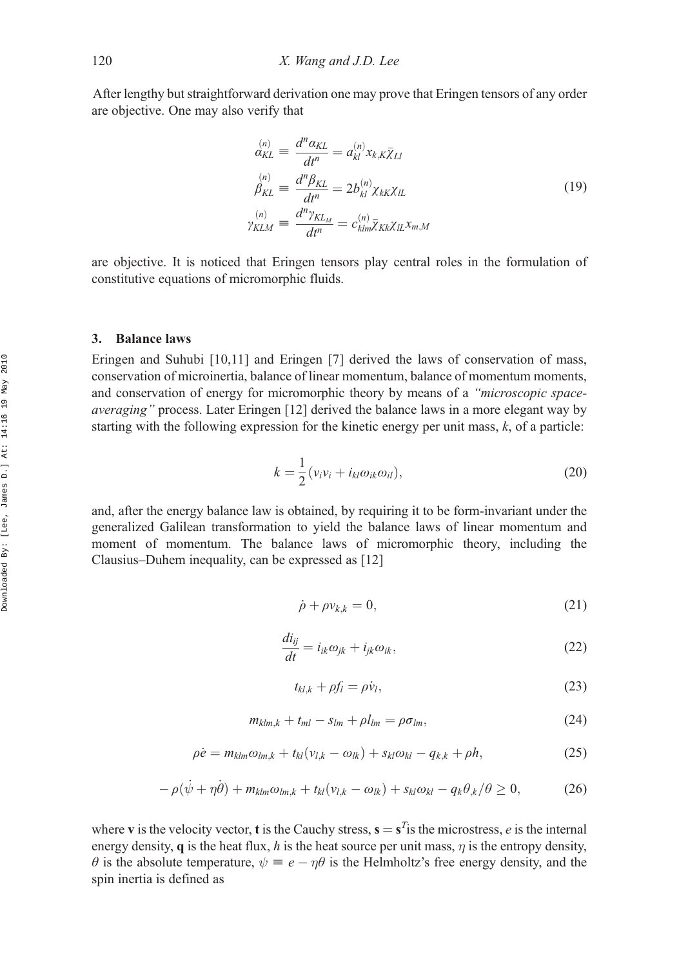After lengthy but straightforward derivation one may prove that Eringen tensors of any order are objective. One may also verify that

$$
\begin{aligned}\n\binom{n}{\alpha_{KL}} & \equiv \frac{d^n \alpha_{KL}}{dt^n} = a_{kl}^{(n)} x_{k,K} \overline{\chi}_{Ll} \\
\beta_{KL}^{(n)} & \equiv \frac{d^n \beta_{KL}}{dt^n} = 2b_{kl}^{(n)} \chi_{kK} \chi_{lL} \\
\gamma_{KLM}^{(n)} & \equiv \frac{d^n \gamma_{KL_M}}{dt^n} = c_{klm}^{(n)} \overline{\chi}_{Kk} \chi_{lL} x_{m,M}\n\end{aligned} \tag{19}
$$

are objective. It is noticed that Eringen tensors play central roles in the formulation of constitutive equations of micromorphic fluids.

#### 3. Balance laws

Eringen and Suhubi [10,11] and Eringen [7] derived the laws of conservation of mass, conservation of microinertia, balance of linear momentum, balance of momentum moments, and conservation of energy for micromorphic theory by means of a "microscopic spaceaveraging" process. Later Eringen [12] derived the balance laws in a more elegant way by starting with the following expression for the kinetic energy per unit mass,  $k$ , of a particle:

$$
k = \frac{1}{2} (v_i v_i + i_{kl} \omega_{ik} \omega_{il}), \qquad (20)
$$

and, after the energy balance law is obtained, by requiring it to be form-invariant under the generalized Galilean transformation to yield the balance laws of linear momentum and moment of momentum. The balance laws of micromorphic theory, including the Clausius–Duhem inequality, can be expressed as [12]

$$
\dot{\rho} + \rho v_{k,k} = 0,\tag{21}
$$

$$
\frac{di_{ij}}{dt} = i_{ik}\omega_{jk} + i_{jk}\omega_{ik},\tag{22}
$$

$$
t_{kl,k} + \rho f_l = \rho \dot{\nu}_l,\tag{23}
$$

$$
m_{klm,k} + t_{ml} - s_{lm} + \rho l_{lm} = \rho \sigma_{lm}, \qquad (24)
$$

$$
\rho \dot{e} = m_{klm}\omega_{lm,k} + t_{kl}(v_{l,k} - \omega_{lk}) + s_{kl}\omega_{kl} - q_{k,k} + \rho h, \qquad (25)
$$

$$
-\rho(\dot{\psi} + \eta \dot{\theta}) + m_{klm}\omega_{lm,k} + t_{kl}(v_{l,k} - \omega_{lk}) + s_{kl}\omega_{kl} - q_k\theta_{,k}/\theta \ge 0,
$$
 (26)

where **v** is the velocity vector, **t** is the Cauchy stress,  $\mathbf{s} = \mathbf{s}^T \mathbf{is}$  the microstress, *e* is the internal energy density  $\boldsymbol{\alpha}$  is the heat flux. *h* is the heat source per unit mass, *n* is the entropy den energy density,  $q$  is the heat flux, h is the heat source per unit mass,  $\eta$  is the entropy density,  $\theta$  is the absolute temperature,  $\psi \equiv e - \eta \theta$  is the Helmholtz's free energy density, and the spin inertia is defined as spin inertia is defined as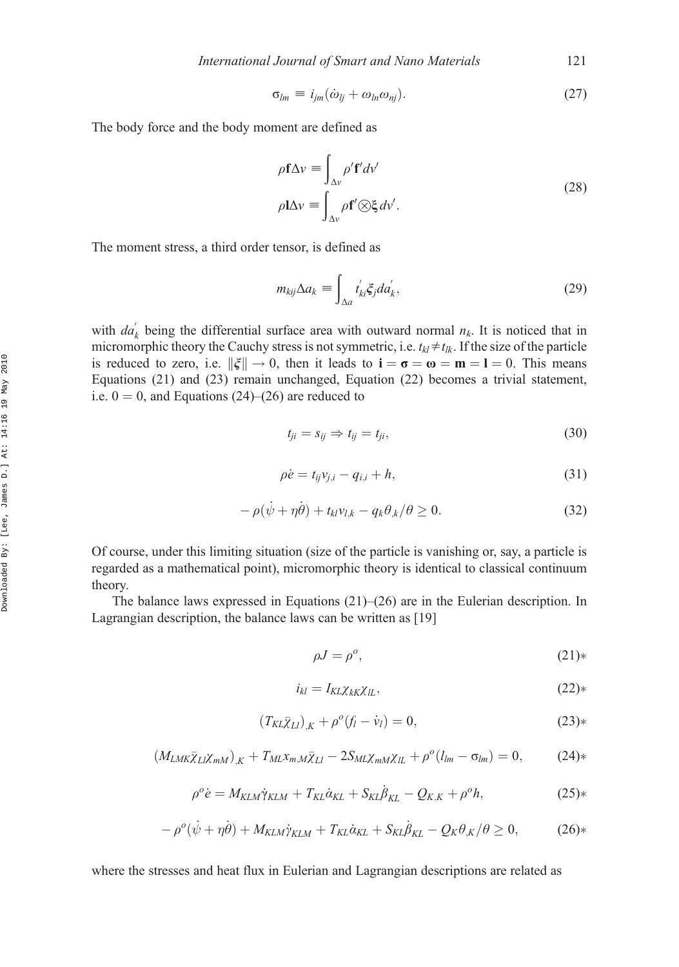$$
\sigma_{lm} \equiv i_{jm} (\dot{\omega}_{lj} + \omega_{ln} \omega_{nj}). \tag{27}
$$

The body force and the body moment are defined as

$$
\rho \mathbf{f} \Delta v \equiv \int_{\Delta v} \rho' \mathbf{f}' d v'
$$
  
\n
$$
\rho \mathbf{I} \Delta v \equiv \int_{\Delta v} \rho \mathbf{f}' \otimes \xi d v'.
$$
\n(28)

The moment stress, a third order tensor, is defined as

$$
m_{kij}\Delta a_k \equiv \int_{\Delta a} t'_{ki}\xi_j da'_k,\tag{29}
$$

with  $da'_k$  being the differential surface area with outward normal  $n_k$ . It is noticed that in micromorphic theory the Cauchy stress is not symmetric, i.e.  $t_{kl} \neq t_{lk}$ . If the size of the particle is reduced to zero, i.e.  $\|\xi\| \to 0$ , then it leads to  $\mathbf{i} = \boldsymbol{\sigma} = \boldsymbol{\omega} = \mathbf{m} = \mathbf{l} = 0$ . This means Equations (21) and (23) remain unchanged, Equation (22) becomes a trivial statement, i.e.  $0 = 0$ , and Equations (24)–(26) are reduced to

$$
t_{ji} = s_{ij} \Rightarrow t_{ij} = t_{ji},\tag{30}
$$

$$
\rho \dot{e} = t_{ij} v_{j,i} - q_{i,i} + h,\tag{31}
$$

$$
-\rho(\dot{\psi} + \eta \dot{\theta}) + t_{kl} v_{l,k} - q_k \theta_{,k} / \theta \ge 0.
$$
\n(32)

Of course, under this limiting situation (size of the particle is vanishing or, say, a particle is regarded as a mathematical point), micromorphic theory is identical to classical continuum theory.

The balance laws expressed in Equations (21)–(26) are in the Eulerian description. In Lagrangian description, the balance laws can be written as [19]

$$
\rho J = \rho^o,\tag{21}\ast
$$

$$
i_{kl} = I_{KL} \chi_{kk} \chi_{ll}, \tag{22}
$$

$$
(T_{KL}\bar{\chi}_{LI})_{,K} + \rho^o(f_i - \dot{v}_l) = 0,
$$
\n(23)\*

$$
(M_{LMK}\bar{\chi}_{Ll}\chi_{mM})_{,K} + T_{ML}\chi_{m,M}\bar{\chi}_{Ll} - 2S_{ML}\chi_{mM}\chi_{Ll} + \rho^o(l_{lm} - \sigma_{lm}) = 0, \qquad (24)*
$$

$$
\rho^o \dot{e} = M_{KLM} \dot{\gamma}_{KLM} + T_{KL} \dot{\alpha}_{KL} + S_{KL} \dot{\beta}_{KL} - Q_{K,K} + \rho^o h,\tag{25}
$$

$$
-\rho^o(\dot{\psi} + \eta \dot{\theta}) + M_{KLM}\dot{\gamma}_{KLM} + T_{KL}\dot{\alpha}_{KL} + S_{KL}\dot{\beta}_{KL} - Q_K\theta_{,K}/\theta \ge 0, \tag{26}
$$

where the stresses and heat flux in Eulerian and Lagrangian descriptions are related as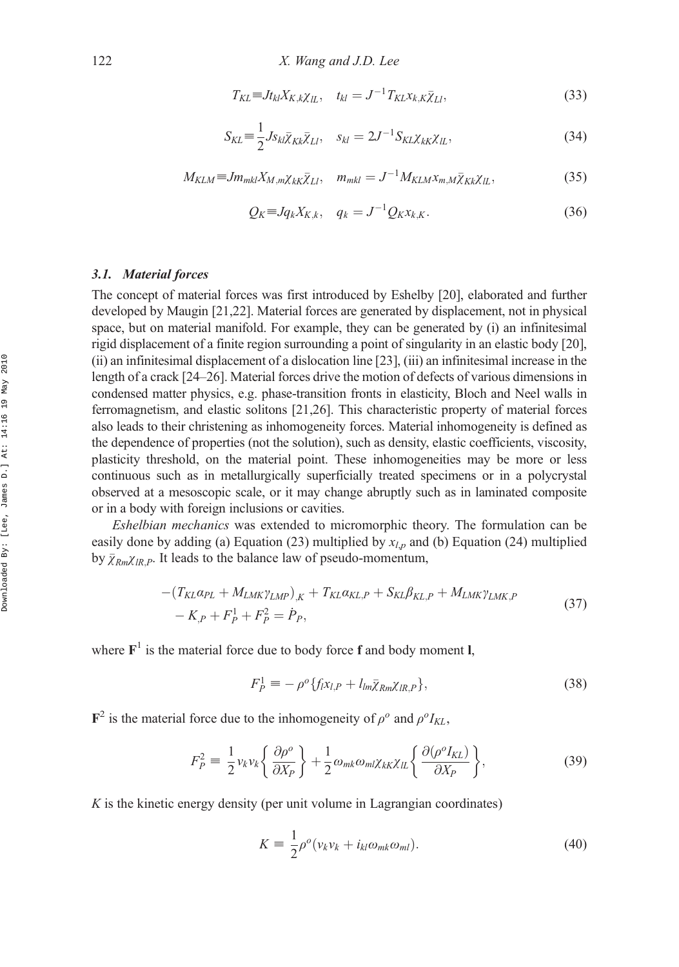$$
T_{KL} \equiv Jt_{kl}X_{K,k}\chi_{IL}, \quad t_{kl} = J^{-1}T_{KL}x_{k,K}\overline{\chi}_{LI}, \tag{33}
$$

$$
S_{KL} \equiv \frac{1}{2} J s_{kl} \bar{\chi}_{Kk} \bar{\chi}_{LI}, \quad s_{kl} = 2J^{-1} S_{KL} \chi_{kK} \chi_{IL}, \tag{34}
$$

$$
M_{KLM} \equiv Jm_{mkl} X_{M,m} \chi_{kK} \bar{\chi}_{Ll}, \quad m_{mkl} = J^{-1} M_{KLM} x_{m,M} \bar{\chi}_{Kk} \chi_{lL}, \tag{35}
$$

$$
Q_K = Jq_k X_{K,k}, \quad q_k = J^{-1} Q_K x_{k,K}.
$$
\n(36)

#### 3.1. Material forces

The concept of material forces was first introduced by Eshelby [20], elaborated and further developed by Maugin [21,22]. Material forces are generated by displacement, not in physical space, but on material manifold. For example, they can be generated by (i) an infinitesimal rigid displacement of a finite region surrounding a point of singularity in an elastic body [20], (ii) an infinitesimal displacement of a dislocation line [23], (iii) an infinitesimal increase in the length of a crack [24–26]. Material forces drive the motion of defects of various dimensions in condensed matter physics, e.g. phase-transition fronts in elasticity, Bloch and Neel walls in ferromagnetism, and elastic solitons [21,26]. This characteristic property of material forces also leads to their christening as inhomogeneity forces. Material inhomogeneity is defined as the dependence of properties (not the solution), such as density, elastic coefficients, viscosity, plasticity threshold, on the material point. These inhomogeneities may be more or less continuous such as in metallurgically superficially treated specimens or in a polycrystal observed at a mesoscopic scale, or it may change abruptly such as in laminated composite or in a body with foreign inclusions or cavities.

Eshelbian mechanics was extended to micromorphic theory. The formulation can be easily done by adding (a) Equation (23) multiplied by  $x_{l,p}$  and (b) Equation (24) multiplied by  $\bar{\chi}_{Rm}\chi_{IR}$  p. It leads to the balance law of pseudo-momentum,

$$
-(T_{KL}\alpha_{PL} + M_{LMK}\gamma_{LMP})_{,K} + T_{KL}\alpha_{KL,P} + S_{KL}\beta_{KL,P} + M_{LMK}\gamma_{LMK,P} - K_{,P} + F_{P}^{1} + F_{P}^{2} = \dot{P}_{P},
$$
\n(37)

where  $F^1$  is the material force due to body force f and body moment l,

$$
F_P^1 = -\rho^o \{ f_j x_{l,P} + l_{lm} \overline{\chi}_{Rm} \chi_{lR,P} \},\tag{38}
$$

 $\mathbf{F}^2$  is the material force due to the inhomogeneity of  $\rho^o$  and  $\rho^oI_{KI}$ ,

$$
F_P^2 \equiv \frac{1}{2} v_k v_k \left\{ \frac{\partial \rho^o}{\partial X_P} \right\} + \frac{1}{2} \omega_{mk} \omega_{ml} \chi_{kK} \chi_{lL} \left\{ \frac{\partial (\rho^o I_{KL})}{\partial X_P} \right\},\tag{39}
$$

K is the kinetic energy density (per unit volume in Lagrangian coordinates)

$$
K = \frac{1}{2}\rho^o(v_k v_k + i_{kl}\omega_{mk}\omega_{ml}).
$$
\n(40)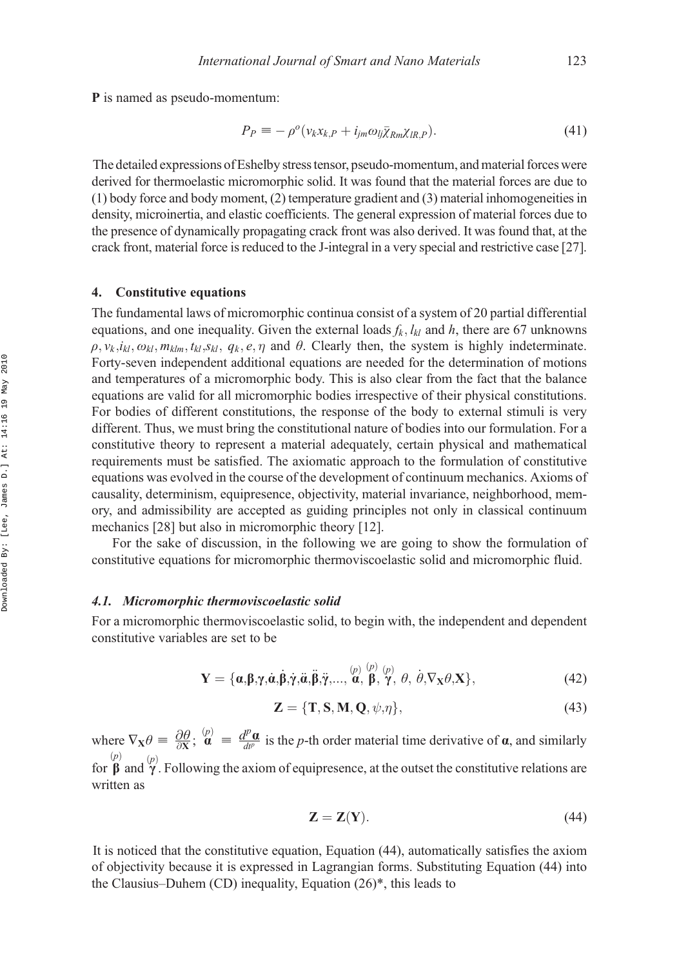P is named as pseudo-momentum:

$$
P_P \equiv -\rho^o(\nu_k x_{k,P} + i_{jm}\omega_{lj}\bar{\chi}_{Rm}\chi_{IR,P}).\tag{41}
$$

The detailed expressions of Eshelby stress tensor, pseudo-momentum, and material forces were derived for thermoelastic micromorphic solid. It was found that the material forces are due to (1) body force and body moment, (2) temperature gradient and (3) material inhomogeneities in density, microinertia, and elastic coefficients. The general expression of material forces due to the presence of dynamically propagating crack front was also derived. It was found that, at the crack front, material force is reduced to the J-integral in a very special and restrictive case [27].

#### 4. Constitutive equations

The fundamental laws of micromorphic continua consist of a system of 20 partial differential equations, and one inequality. Given the external loads  $f_k$ ,  $l_{kl}$  and h, there are 67 unknowns  $\rho$ ,  $v_k$ ,  $i_{kl}$ ,  $\omega_{kl}$ ,  $m_{klm}$ ,  $t_{kl}$ ,  $s_{kl}$ ,  $q_k$ ,  $e, \eta$  and  $\theta$ . Clearly then, the system is highly indeterminate. Forty-seven independent additional equations are needed for the determination of motions and temperatures of a micromorphic body. This is also clear from the fact that the balance equations are valid for all micromorphic bodies irrespective of their physical constitutions. For bodies of different constitutions, the response of the body to external stimuli is very different. Thus, we must bring the constitutional nature of bodies into our formulation. For a constitutive theory to represent a material adequately, certain physical and mathematical requirements must be satisfied. The axiomatic approach to the formulation of constitutive equations was evolved in the course of the development of continuum mechanics. Axioms of causality, determinism, equipresence, objectivity, material invariance, neighborhood, memory, and admissibility are accepted as guiding principles not only in classical continuum mechanics [28] but also in micromorphic theory [12].

For the sake of discussion, in the following we are going to show the formulation of constitutive equations for micromorphic thermoviscoelastic solid and micromorphic fluid.

#### 4.1. Micromorphic thermoviscoelastic solid

For a micromorphic thermoviscoelastic solid, to begin with, the independent and dependent constitutive variables are set to be

$$
\mathbf{Y} = \{\boldsymbol{\alpha}, \boldsymbol{\beta}, \boldsymbol{\gamma}, \dot{\boldsymbol{\alpha}}, \dot{\boldsymbol{\beta}}, \dot{\boldsymbol{\gamma}}, \ddot{\boldsymbol{\alpha}}, \ddot{\boldsymbol{\beta}}, \ddot{\boldsymbol{\gamma}}, \dots, \overset{(p)}{\boldsymbol{\alpha}}, \overset{(p)}{\boldsymbol{\beta}}, \overset{(p)}{\boldsymbol{\gamma}}, \theta, \dot{\theta}, \nabla_{\mathbf{X}}\theta, \mathbf{X}\},
$$
(42)

$$
\mathbf{Z} = \{\mathbf{T}, \mathbf{S}, \mathbf{M}, \mathbf{Q}, \psi, \eta\},\tag{43}
$$

where  $\nabla_{\mathbf{X}} \theta = \frac{\partial \theta}{\partial \mathbf{X}}$ ;  $\mathbf{a}^{\text{p}} = \frac{d^p \mathbf{a}}{d^p}$  is the *p*-th order material time derivative of **a**, and similarly  $\begin{pmatrix} p \\ p \end{pmatrix}$  and γ. Following the axiom of equipresence, at the outset the constitutive relations are written as

$$
Z = Z(Y). \tag{44}
$$

It is noticed that the constitutive equation, Equation (44), automatically satisfies the axiom of objectivity because it is expressed in Lagrangian forms. Substituting Equation (44) into the Clausius–Duhem (CD) inequality, Equation (26)\*, this leads to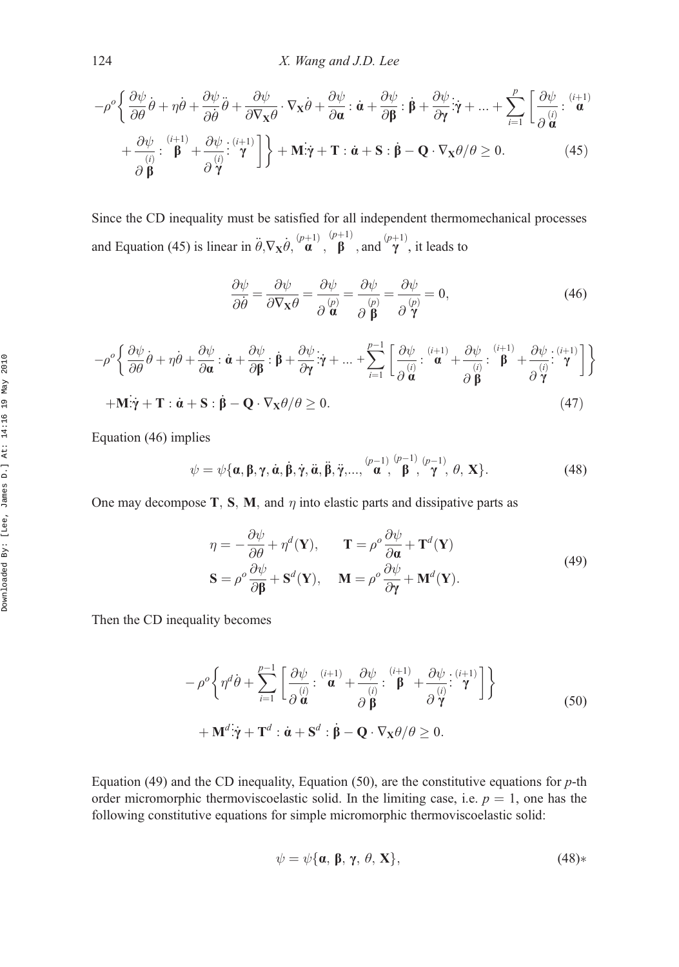$$
-\rho^o \left\{ \frac{\partial \psi}{\partial \theta} \dot{\theta} + \eta \dot{\theta} + \frac{\partial \psi}{\partial \dot{\theta}} \ddot{\theta} + \frac{\partial \psi}{\partial \nabla x \theta} \cdot \nabla x \dot{\theta} + \frac{\partial \psi}{\partial \alpha} : \dot{\alpha} + \frac{\partial \psi}{\partial \beta} : \dot{\beta} + \frac{\partial \psi}{\partial \gamma} : \dot{\gamma} + \dots + \sum_{i=1}^p \left[ \frac{\partial \psi}{\partial \dot{\alpha}} : \frac{(\dot{\alpha}+1)}{\alpha} + \frac{\partial \psi}{\partial \dot{\beta}} : \dot{\beta} + \frac{\partial \psi}{\partial \dot{\gamma}} : \frac{(\dot{\alpha}+1)}{\gamma} \right] \right\} + \mathbf{M} : \dot{\gamma} + \mathbf{T} : \dot{\alpha} + \mathbf{S} : \dot{\beta} - \mathbf{Q} \cdot \nabla x \theta / \theta \ge 0.
$$
 (45)

Since the CD inequality must be satisfied for all independent thermomechanical processes and Equation (45) is linear in  $\ddot{\theta}, \nabla_X \dot{\theta}, \overset{(p+1)}{\alpha}, \overset{(p+1)}{\beta}$ , and  $\overset{(p+1)}{\gamma}$ , it leads to

$$
\frac{\partial \psi}{\partial \dot{\theta}} = \frac{\partial \psi}{\partial \nabla_{\mathbf{X}} \theta} = \frac{\partial \psi}{\partial \overset{(p)}{\mathbf{a}}} = \frac{\partial \psi}{\partial \overset{(p)}{\mathbf{B}}} = \frac{\partial \psi}{\partial \overset{(p)}{\gamma}} = 0,
$$
(46)

$$
-\rho^{o}\left\{\frac{\partial\psi}{\partial\theta}\dot{\theta}+\eta\dot{\theta}+\frac{\partial\psi}{\partial\alpha}\cdot\dot{\alpha}+\frac{\partial\psi}{\partial\beta}\cdot\dot{\beta}+\frac{\partial\psi}{\partial\gamma}\cdot\dot{\gamma}+\ldots+\sum_{i=1}^{p-1}\left[\frac{\partial\psi}{\partial\frac{\dot{\alpha}}{\alpha}}\cdot\frac{(\dot{\alpha}+1)}{\alpha}+\frac{\partial\psi}{\partial\frac{\dot{\alpha}}{\beta}}\cdot\frac{(\dot{\alpha}+1)}{\beta}+\frac{\partial\psi}{\partial\frac{\dot{\alpha}}{\gamma}}\cdot\frac{(\dot{\alpha}+1)}{\gamma}\right]\right\}
$$

$$
+\mathbf{M}\cdot\dot{\gamma}+\mathbf{T}\cdot\dot{\alpha}+\mathbf{S}\cdot\dot{\beta}-\mathbf{Q}\cdot\nabla_{\mathbf{X}}\theta/\theta\geq 0.
$$
 (47)

Equation (46) implies

$$
\psi = \psi\{\boldsymbol{\alpha}, \boldsymbol{\beta}, \boldsymbol{\gamma}, \dot{\boldsymbol{\alpha}}, \dot{\boldsymbol{\beta}}, \dot{\boldsymbol{\gamma}}, \ddot{\boldsymbol{\alpha}}, \ddot{\boldsymbol{\beta}}, \ddot{\boldsymbol{\gamma}}, \dots, \overset{(p-1)}{\boldsymbol{\alpha}}, \overset{(p-1)}{\boldsymbol{\beta}}, \overset{(p-1)}{\boldsymbol{\gamma}}, \theta, \mathbf{X}\}.
$$
\n(48)

One may decompose T, S, M, and  $\eta$  into elastic parts and dissipative parts as

$$
\eta = -\frac{\partial \psi}{\partial \theta} + \eta^{d}(\mathbf{Y}), \qquad \mathbf{T} = \rho^{o} \frac{\partial \psi}{\partial \mathbf{a}} + \mathbf{T}^{d}(\mathbf{Y})
$$
  

$$
\mathbf{S} = \rho^{o} \frac{\partial \psi}{\partial \mathbf{B}} + \mathbf{S}^{d}(\mathbf{Y}), \qquad \mathbf{M} = \rho^{o} \frac{\partial \psi}{\partial \mathbf{Y}} + \mathbf{M}^{d}(\mathbf{Y}).
$$
 (49)

Then the CD inequality becomes

$$
- \rho^o \left\{ \eta^d \dot{\theta} + \sum_{i=1}^{p-1} \left[ \frac{\partial \psi}{\partial \dot{\mathbf{a}}} : \frac{(i+1)}{\mathbf{a}} + \frac{\partial \psi}{\partial \dot{\mathbf{b}}} : \frac{(i+1)}{\mathbf{\beta}} + \frac{\partial \psi}{\partial \dot{\mathbf{a}}} : \frac{(i+1)}{\gamma} \right] \right\}
$$
  
+ 
$$
\mathbf{M}^d \dot{\mathbf{a}} + \mathbf{T}^d : \dot{\mathbf{a}} + \mathbf{S}^d : \dot{\mathbf{\beta}} - \mathbf{Q} \cdot \nabla_{\mathbf{X}} \theta / \theta \ge 0.
$$
 (50)

Equation (49) and the CD inequality, Equation (50), are the constitutive equations for  $p$ -th order micromorphic thermoviscoelastic solid. In the limiting case, i.e.  $p = 1$ , one has the following constitutive equations for simple micromorphic thermoviscoelastic solid:

$$
\psi = \psi\{\mathbf{a}, \mathbf{\beta}, \gamma, \theta, \mathbf{X}\},\tag{48}
$$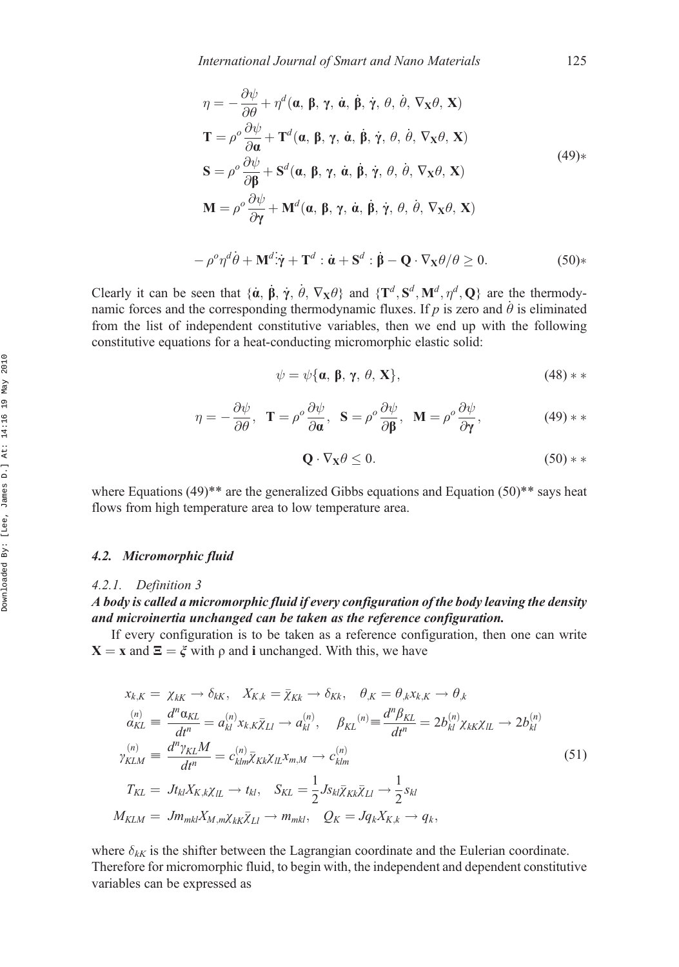$$
\eta = -\frac{\partial \psi}{\partial \theta} + \eta^{d}(\mathbf{\alpha}, \mathbf{\beta}, \gamma, \dot{\mathbf{\alpha}}, \dot{\mathbf{\beta}}, \dot{\gamma}, \theta, \dot{\theta}, \nabla_{\mathbf{X}}\theta, \mathbf{X})
$$
  
\n
$$
\mathbf{T} = \rho^{o} \frac{\partial \psi}{\partial \mathbf{a}} + \mathbf{T}^{d}(\mathbf{\alpha}, \mathbf{\beta}, \gamma, \dot{\mathbf{\alpha}}, \dot{\mathbf{\beta}}, \dot{\gamma}, \theta, \dot{\theta}, \nabla_{\mathbf{X}}\theta, \mathbf{X})
$$
  
\n
$$
\mathbf{S} = \rho^{o} \frac{\partial \psi}{\partial \mathbf{\beta}} + \mathbf{S}^{d}(\mathbf{\alpha}, \mathbf{\beta}, \gamma, \dot{\mathbf{\alpha}}, \dot{\mathbf{\beta}}, \dot{\gamma}, \theta, \dot{\theta}, \nabla_{\mathbf{X}}\theta, \mathbf{X})
$$
  
\n
$$
\mathbf{M} = \rho^{o} \frac{\partial \psi}{\partial \gamma} + \mathbf{M}^{d}(\mathbf{\alpha}, \mathbf{\beta}, \gamma, \dot{\mathbf{\alpha}}, \dot{\mathbf{\beta}}, \dot{\gamma}, \theta, \dot{\theta}, \nabla_{\mathbf{X}}\theta, \mathbf{X})
$$
\n(49)\*

$$
-\rho^o \eta^d \dot{\theta} + \mathbf{M}^d \dot{\phi} + \mathbf{T}^d : \dot{\mathbf{\alpha}} + \mathbf{S}^d : \dot{\mathbf{\beta}} - \mathbf{Q} \cdot \nabla_{\mathbf{X}} \theta / \theta \ge 0.
$$
 (50)\*

Clearly it can be seen that  $\{\dot{\alpha}, \dot{\beta}, \dot{\gamma}, \dot{\theta}, \nabla_X \theta\}$  and  $\{\mathbf{T}^d, \mathbf{S}^d, \mathbf{M}^d, \eta^d, \mathbf{Q}\}\$  are the thermodynamic forces and the corresponding thermodynamic fluxes. If p is zero and  $\dot{\theta}$  is eliminated from the list of independent constitutive variables, then we end up with the following constitutive equations for a heat-conducting micromorphic elastic solid:

$$
\psi = \psi\{\mathbf{a}, \mathbf{\beta}, \gamma, \theta, \mathbf{X}\},\tag{48}^{\circ}
$$

$$
\eta = -\frac{\partial \psi}{\partial \theta}, \quad \mathbf{T} = \rho^o \frac{\partial \psi}{\partial \mathbf{a}}, \quad \mathbf{S} = \rho^o \frac{\partial \psi}{\partial \mathbf{\beta}}, \quad \mathbf{M} = \rho^o \frac{\partial \psi}{\partial \gamma}, \tag{49} \ast \ast
$$

$$
\mathbf{Q} \cdot \nabla_{\mathbf{X}} \theta \le 0. \tag{50} \ast \ast
$$

where Equations  $(49)^{**}$  are the generalized Gibbs equations and Equation  $(50)^{**}$  says heat flows from high temperature area to low temperature area.

#### 4.2. Micromorphic fluid

#### 4.2.1. Definition 3

## A body is called a micromorphic fluid if every configuration of the body leaving the density and microinertia unchanged can be taken as the reference configuration.

If every configuration is to be taken as a reference configuration, then one can write  $X = x$  and  $\Xi = \xi$  with  $\rho$  and i unchanged. With this, we have

$$
x_{k,K} = \chi_{kk} \to \delta_{kk}, \quad X_{K,k} = \bar{\chi}_{kk} \to \delta_{kk}, \quad \theta_{,K} = \theta_{,k} x_{k,K} \to \theta_{,k}
$$
  
\n
$$
\alpha_{KL}^{(n)} \equiv \frac{d^n \alpha_{KL}}{dt^n} = a_{kl}^{(n)} x_{k,K} \bar{\chi}_{LI} \to a_{kl}^{(n)}, \quad \beta_{KL}^{(n)} \equiv \frac{d^n \beta_{KL}}{dt^n} = 2b_{kl}^{(n)} \chi_{kK} \chi_{IL} \to 2b_{kl}^{(n)}
$$
  
\n
$$
\gamma_{KLM}^{(n)} \equiv \frac{d^n \gamma_{KL} M}{dt^n} = c_{klm}^{(n)} \bar{\chi}_{kk} \chi_{IL} x_{m,M} \to c_{klm}^{(n)}
$$
  
\n
$$
T_{KL} = Jt_{kl} X_{K,k} \chi_{IL} \to t_{kl}, \quad S_{KL} = \frac{1}{2} Js_{kl} \bar{\chi}_{kk} \bar{\chi}_{LI} \to \frac{1}{2} s_{kl}
$$
  
\n
$$
M_{KLM} = Jm_{mkl} X_{M,m} \chi_{kk} \bar{\chi}_{LI} \to m_{mkl}, \quad Q_K = Jq_k X_{K,k} \to q_k,
$$
\n
$$
(51)
$$

where  $\delta_{kk}$  is the shifter between the Lagrangian coordinate and the Eulerian coordinate. Therefore for micromorphic fluid, to begin with, the independent and dependent constitutive variables can be expressed as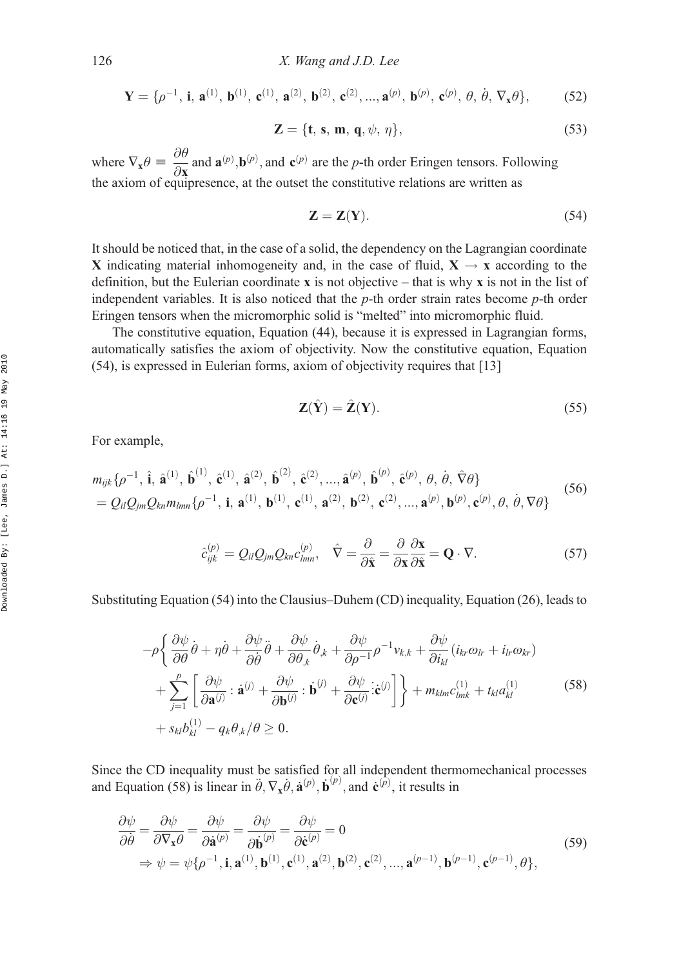$$
\mathbf{Y} = \{ \rho^{-1}, \, \mathbf{i}, \, \mathbf{a}^{(1)}, \, \mathbf{b}^{(1)}, \, \mathbf{c}^{(1)}, \, \mathbf{a}^{(2)}, \, \mathbf{b}^{(2)}, \, \mathbf{c}^{(2)}, \, \dots, \mathbf{a}^{(p)}, \, \mathbf{b}^{(p)}, \, \mathbf{c}^{(p)}, \, \theta, \, \dot{\theta}, \, \nabla_{\mathbf{x}} \theta \},\tag{52}
$$

$$
\mathbf{Z} = \{\mathbf{t}, \mathbf{s}, \mathbf{m}, \mathbf{q}, \psi, \eta\},\tag{53}
$$

where  $\nabla_{\mathbf{x}} \theta = \frac{\partial \theta}{\partial \mathbf{x}}$  and  $\mathbf{a}^{(p)}$ ,  $\mathbf{b}^{(p)}$ , and  $\mathbf{c}^{(p)}$  are the *p*-th order Eringen tensors. Following the axiom of equipresence, at the outset the constitutive relations are written as

$$
\mathbf{Z} = \mathbf{Z}(\mathbf{Y}).\tag{54}
$$

It should be noticed that, in the case of a solid, the dependency on the Lagrangian coordinate X indicating material inhomogeneity and, in the case of fluid,  $X \rightarrow x$  according to the definition, but the Eulerian coordinate  $x$  is not objective – that is why  $x$  is not in the list of independent variables. It is also noticed that the  $p$ -th order strain rates become  $p$ -th order Eringen tensors when the micromorphic solid is "melted" into micromorphic fluid.

The constitutive equation, Equation (44), because it is expressed in Lagrangian forms, automatically satisfies the axiom of objectivity. Now the constitutive equation, Equation (54), is expressed in Eulerian forms, axiom of objectivity requires that [13]

$$
\mathbf{Z}(\hat{\mathbf{Y}}) = \hat{\mathbf{Z}}(\mathbf{Y}).\tag{55}
$$

For example,

$$
m_{ijk}\{\rho^{-1}, \hat{\mathbf{i}}, \hat{\mathbf{a}}^{(1)}, \hat{\mathbf{b}}^{(1)}, \hat{\mathbf{c}}^{(1)}, \hat{\mathbf{a}}^{(2)}, \hat{\mathbf{b}}^{(2)}, \hat{\mathbf{c}}^{(2)}, ..., \hat{\mathbf{a}}^{(p)}, \hat{\mathbf{b}}^{(p)}, \hat{\mathbf{c}}^{(p)}, \theta, \dot{\theta}, \hat{\nabla}\theta\}
$$
  
=  $Q_{il}Q_{jm}Q_{kn}m_{lmn}\{\rho^{-1}, \mathbf{i}, \mathbf{a}^{(1)}, \mathbf{b}^{(1)}, \mathbf{c}^{(1)}, \mathbf{a}^{(2)}, \mathbf{b}^{(2)}, \mathbf{c}^{(2)}, ..., \mathbf{a}^{(p)}, \mathbf{b}^{(p)}, \mathbf{c}^{(p)}, \theta, \dot{\theta}, \nabla\theta\}$  (56)

$$
\hat{c}_{ijk}^{(p)} = Q_{il}Q_{jm}Q_{kn}c_{lmn}^{(p)}, \quad \hat{\nabla} = \frac{\partial}{\partial \hat{\mathbf{x}}} = \frac{\partial}{\partial \mathbf{x}}\frac{\partial \mathbf{x}}{\partial \hat{\mathbf{x}}} = \mathbf{Q} \cdot \nabla. \tag{57}
$$

Substituting Equation (54) into the Clausius–Duhem (CD) inequality, Equation (26), leads to

$$
-\rho \left\{ \frac{\partial \psi}{\partial \theta} \dot{\theta} + \eta \dot{\theta} + \frac{\partial \psi}{\partial \dot{\theta}} \ddot{\theta} + \frac{\partial \psi}{\partial \theta_k} \dot{\theta}_{,k} + \frac{\partial \psi}{\partial \rho^{-1}} \rho^{-1} v_{k,k} + \frac{\partial \psi}{\partial i_{kl}} (i_{kr} \omega_{lr} + i_{lr} \omega_{kr}) + \sum_{j=1}^{p} \left[ \frac{\partial \psi}{\partial \mathbf{a}^{(j)}} \cdot \dot{\mathbf{a}}^{(j)} + \frac{\partial \psi}{\partial \mathbf{b}^{(j)}} \cdot \dot{\mathbf{b}}^{(j)} + \frac{\partial \psi}{\partial \mathbf{c}^{(j)}} \cdot \dot{\mathbf{c}}^{(j)} \right] \right\} + m_{klm} c_{lmk}^{(1)} + t_{kl} a_{kl}^{(1)}
$$
(58)  
+  $s_{kl} b_{kl}^{(1)} - q_k \theta_{,k} / \theta \ge 0.$ 

Since the CD inequality must be satisfied for all independent thermomechanical processes and Equation (58) is linear in  $\ddot{\theta}$ ,  $\nabla_{\mathbf{x}} \dot{\theta}$ ,  $\dot{\mathbf{a}}^{(p)}$ ,  $\dot{\mathbf{b}}^{(p)}$ , and  $\dot{\mathbf{c}}^{(p)}$ , it results in

$$
\frac{\partial \psi}{\partial \dot{\theta}} = \frac{\partial \psi}{\partial \nabla_{\mathbf{x}} \theta} = \frac{\partial \psi}{\partial \dot{\mathbf{a}}^{(p)}} = \frac{\partial \psi}{\partial \dot{\mathbf{b}}^{(p)}} = \frac{\partial \psi}{\partial \dot{\mathbf{c}}^{(p)}} = 0
$$
\n
$$
\Rightarrow \psi = \psi \{ \rho^{-1}, \mathbf{i}, \mathbf{a}^{(1)}, \mathbf{b}^{(1)}, \mathbf{c}^{(1)}, \mathbf{a}^{(2)}, \mathbf{b}^{(2)}, \mathbf{c}^{(2)}, ..., \mathbf{a}^{(p-1)}, \mathbf{b}^{(p-1)}, \mathbf{c}^{(p-1)}, \theta \},
$$
\n(59)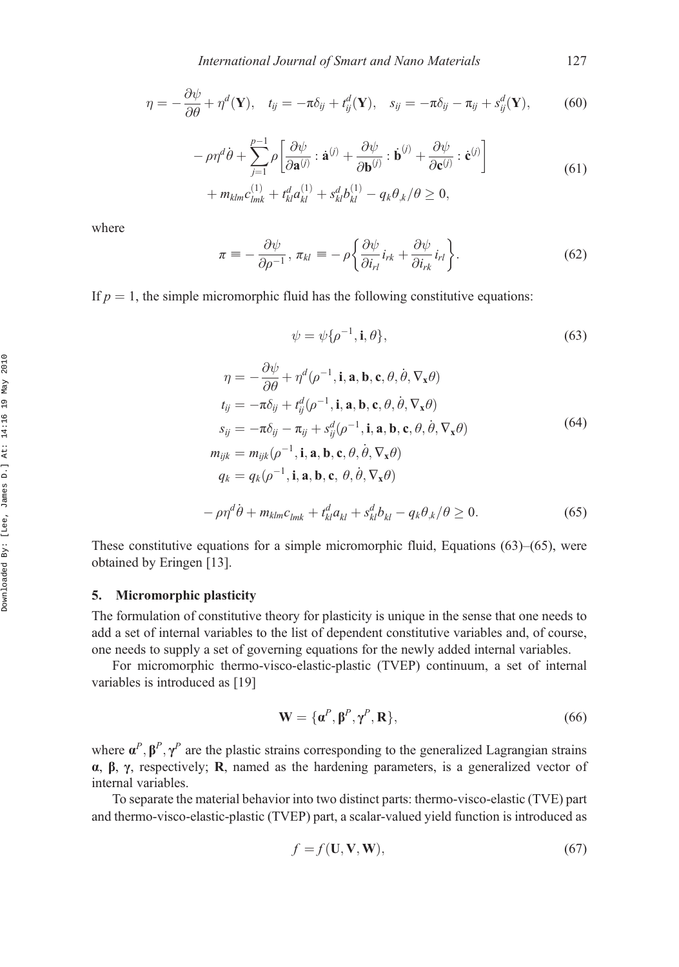$$
\eta = -\frac{\partial \psi}{\partial \theta} + \eta^d(\mathbf{Y}), \quad t_{ij} = -\pi \delta_{ij} + t_{ij}^d(\mathbf{Y}), \quad s_{ij} = -\pi \delta_{ij} - \pi_{ij} + s_{ij}^d(\mathbf{Y}), \tag{60}
$$

$$
- \rho \eta^{d} \dot{\theta} + \sum_{j=1}^{p-1} \rho \left[ \frac{\partial \psi}{\partial \mathbf{a}^{(j)}} : \dot{\mathbf{a}}^{(j)} + \frac{\partial \psi}{\partial \mathbf{b}^{(j)}} : \dot{\mathbf{b}}^{(j)} + \frac{\partial \psi}{\partial \mathbf{c}^{(j)}} : \dot{\mathbf{c}}^{(j)} \right] + m_{klm} c_{lmk}^{(1)} + t_{kl}^{d} a_{kl}^{(1)} + s_{kl}^{d} b_{kl}^{(1)} - q_k \theta_{,k} / \theta \ge 0,
$$
\n(61)

where

$$
\pi \equiv -\frac{\partial \psi}{\partial \rho^{-1}}, \pi_{kl} \equiv -\rho \left\{ \frac{\partial \psi}{\partial i_{rl}} i_{rk} + \frac{\partial \psi}{\partial i_{rk}} i_{rl} \right\}.
$$
 (62)

If  $p = 1$ , the simple micromorphic fluid has the following constitutive equations:

$$
\psi = \psi\{\rho^{-1}, \mathbf{i}, \theta\},\tag{63}
$$

$$
\eta = -\frac{\partial \psi}{\partial \theta} + \eta^{d} (\rho^{-1}, \mathbf{i}, \mathbf{a}, \mathbf{b}, \mathbf{c}, \theta, \dot{\theta}, \nabla_{\mathbf{x}} \theta)
$$
  
\n
$$
t_{ij} = -\pi \delta_{ij} + t_{ij}^{d} (\rho^{-1}, \mathbf{i}, \mathbf{a}, \mathbf{b}, \mathbf{c}, \theta, \dot{\theta}, \nabla_{\mathbf{x}} \theta)
$$
  
\n
$$
s_{ij} = -\pi \delta_{ij} - \pi_{ij} + s_{ij}^{d} (\rho^{-1}, \mathbf{i}, \mathbf{a}, \mathbf{b}, \mathbf{c}, \theta, \dot{\theta}, \nabla_{\mathbf{x}} \theta)
$$
  
\n
$$
m_{ijk} = m_{ijk} (\rho^{-1}, \mathbf{i}, \mathbf{a}, \mathbf{b}, \mathbf{c}, \theta, \dot{\theta}, \nabla_{\mathbf{x}} \theta)
$$
  
\n
$$
q_{k} = q_{k} (\rho^{-1}, \mathbf{i}, \mathbf{a}, \mathbf{b}, \mathbf{c}, \theta, \dot{\theta}, \nabla_{\mathbf{x}} \theta)
$$
  
\n
$$
- \rho \eta^{d} \dot{\theta} + m_{klm} c_{lmk} + t_{kl}^{d} a_{kl} + s_{kl}^{d} b_{kl} - q_{k} \theta_{,k} / \theta \ge 0.
$$
 (65)

These constitutive equations for a simple micromorphic fluid, Equations  $(63)$ – $(65)$ , were obtained by Eringen [13].

#### 5. Micromorphic plasticity

The formulation of constitutive theory for plasticity is unique in the sense that one needs to add a set of internal variables to the list of dependent constitutive variables and, of course, one needs to supply a set of governing equations for the newly added internal variables.

For micromorphic thermo-visco-elastic-plastic (TVEP) continuum, a set of internal variables is introduced as [19]

$$
\mathbf{W} = \{\boldsymbol{\alpha}^P, \boldsymbol{\beta}^P, \boldsymbol{\gamma}^P, \mathbf{R}\},\tag{66}
$$

where  $\mathbf{a}^P$ ,  $\mathbf{\beta}^P$ ,  $\mathbf{\gamma}^P$  are the plastic strains corresponding to the generalized Lagrangian strains  $\alpha$ , β, γ, respectively; R, named as the hardening parameters, is a generalized vector of internal variables.

To separate the material behavior into two distinct parts: thermo-visco-elastic (TVE) part and thermo-visco-elastic-plastic (TVEP) part, a scalar-valued yield function is introduced as

$$
f = f(\mathbf{U}, \mathbf{V}, \mathbf{W}),\tag{67}
$$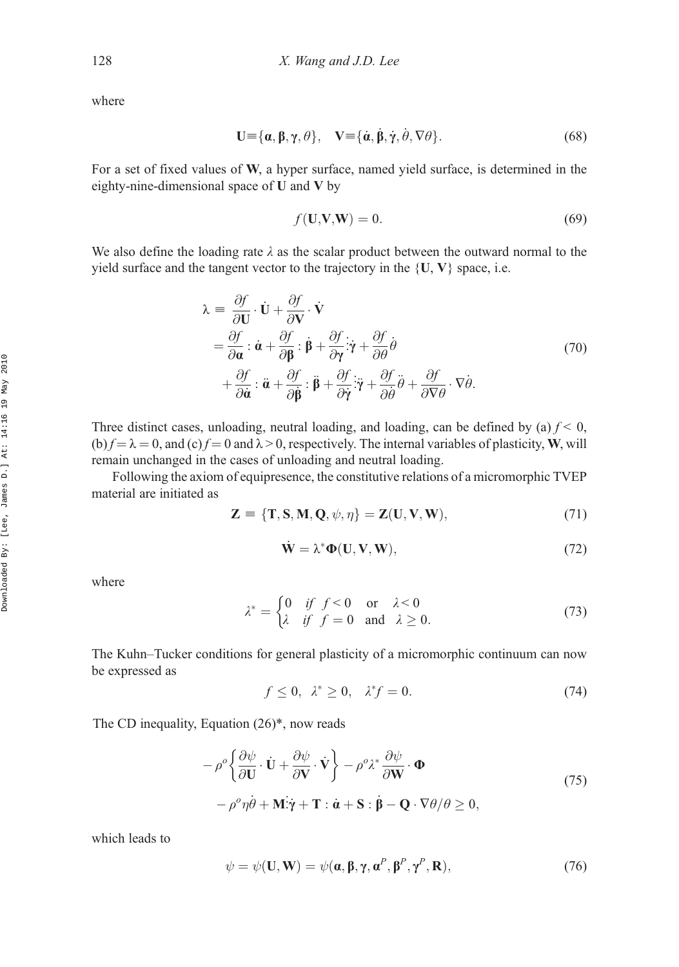where

$$
\mathbf{U} \equiv \{\boldsymbol{\alpha}, \boldsymbol{\beta}, \boldsymbol{\gamma}, \theta\}, \quad \mathbf{V} \equiv \{\dot{\boldsymbol{\alpha}}, \dot{\boldsymbol{\beta}}, \dot{\boldsymbol{\gamma}}, \dot{\theta}, \nabla\theta\}.
$$
 (68)

For a set of fixed values of W, a hyper surface, named yield surface, is determined in the eighty-nine-dimensional space of U and V by

$$
f(\mathbf{U}, \mathbf{V}, \mathbf{W}) = 0. \tag{69}
$$

We also define the loading rate  $\lambda$  as the scalar product between the outward normal to the yield surface and the tangent vector to the trajectory in the  ${U, V}$  space, i.e.

$$
\lambda = \frac{\partial f}{\partial U} \cdot \dot{U} + \frac{\partial f}{\partial V} \cdot \dot{V}
$$
  
\n
$$
= \frac{\partial f}{\partial \alpha} \cdot \dot{\alpha} + \frac{\partial f}{\partial \beta} \cdot \dot{\beta} + \frac{\partial f}{\partial \gamma} \cdot \dot{\gamma} + \frac{\partial f}{\partial \theta} \dot{\theta}
$$
  
\n
$$
+ \frac{\partial f}{\partial \dot{\alpha}} \cdot \ddot{\alpha} + \frac{\partial f}{\partial \dot{\beta}} \cdot \ddot{\beta} + \frac{\partial f}{\partial \dot{\gamma}} \cdot \ddot{\gamma} + \frac{\partial f}{\partial \dot{\theta}} \ddot{\theta} + \frac{\partial f}{\partial V \theta} \cdot \nabla \dot{\theta}.
$$
 (70)

Three distinct cases, unloading, neutral loading, and loading, can be defined by (a)  $f < 0$ , (b)  $f = \lambda = 0$ , and (c)  $f = 0$  and  $\lambda > 0$ , respectively. The internal variables of plasticity, W, will remain unchanged in the cases of unloading and neutral loading.

Following the axiom of equipresence, the constitutive relations of a micromorphic TVEP material are initiated as

$$
\mathbf{Z} \equiv \{ \mathbf{T}, \mathbf{S}, \mathbf{M}, \mathbf{Q}, \psi, \eta \} = \mathbf{Z}(\mathbf{U}, \mathbf{V}, \mathbf{W}), \tag{71}
$$

$$
\dot{\mathbf{W}} = \lambda^* \Phi(\mathbf{U}, \mathbf{V}, \mathbf{W}),\tag{72}
$$

where

$$
\lambda^* = \begin{cases} 0 & \text{if } f < 0 \quad \text{or} \quad \lambda < 0 \\ \lambda & \text{if } f = 0 \quad \text{and} \quad \lambda \ge 0. \end{cases}
$$
 (73)

The Kuhn–Tucker conditions for general plasticity of a micromorphic continuum can now be expressed as

$$
f \le 0, \ \lambda^* \ge 0, \ \lambda^* f = 0. \tag{74}
$$

The CD inequality, Equation (26)\*, now reads

$$
- \rho^o \left\{ \frac{\partial \psi}{\partial \mathbf{U}} \cdot \dot{\mathbf{U}} + \frac{\partial \psi}{\partial \mathbf{V}} \cdot \dot{\mathbf{V}} \right\} - \rho^o \lambda^* \frac{\partial \psi}{\partial \mathbf{W}} \cdot \mathbf{\Phi}
$$
  
-  $\rho^o \eta \dot{\theta} + \mathbf{M} \dot{\gamma} + \mathbf{T} : \dot{\mathbf{\alpha}} + \mathbf{S} : \dot{\mathbf{\beta}} - \mathbf{Q} \cdot \nabla \theta / \theta \ge 0,$  (75)

which leads to

$$
\psi = \psi(\mathbf{U}, \mathbf{W}) = \psi(\mathbf{\alpha}, \mathbf{\beta}, \gamma, \mathbf{\alpha}^P, \mathbf{\beta}^P, \gamma^P, \mathbf{R}),
$$
\n(76)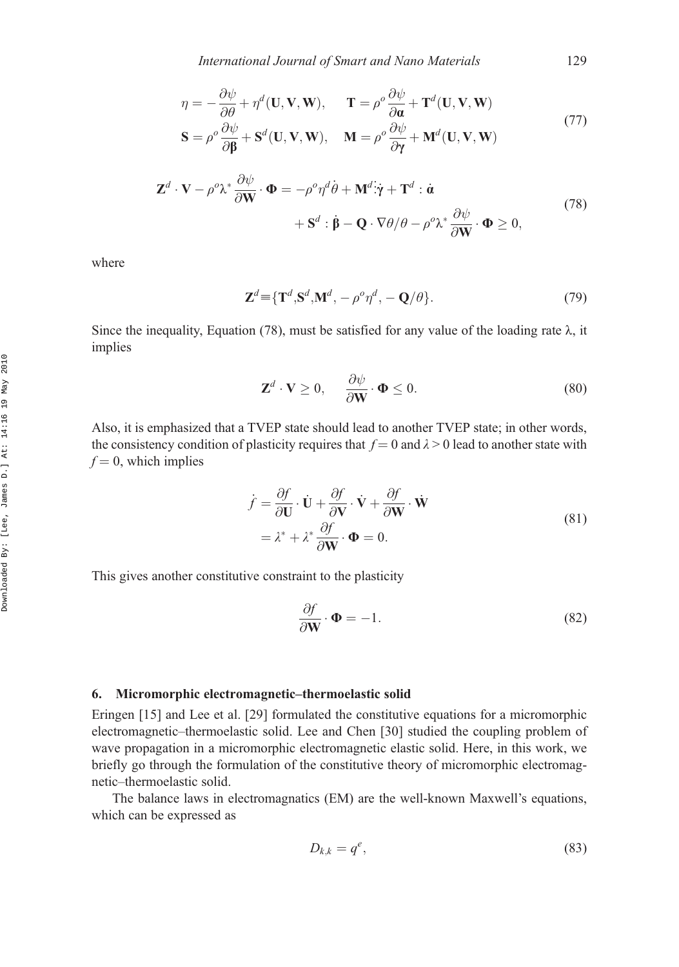$$
\eta = -\frac{\partial \psi}{\partial \theta} + \eta^{d}(\mathbf{U}, \mathbf{V}, \mathbf{W}), \quad \mathbf{T} = \rho^{o} \frac{\partial \psi}{\partial \mathbf{a}} + \mathbf{T}^{d}(\mathbf{U}, \mathbf{V}, \mathbf{W})
$$
  

$$
\mathbf{S} = \rho^{o} \frac{\partial \psi}{\partial \mathbf{p}} + \mathbf{S}^{d}(\mathbf{U}, \mathbf{V}, \mathbf{W}), \quad \mathbf{M} = \rho^{o} \frac{\partial \psi}{\partial \gamma} + \mathbf{M}^{d}(\mathbf{U}, \mathbf{V}, \mathbf{W})
$$
(77)

$$
\mathbf{Z}^{d} \cdot \mathbf{V} - \rho^{o} \lambda^{*} \frac{\partial \psi}{\partial \mathbf{W}} \cdot \mathbf{\Phi} = -\rho^{o} \eta^{d} \dot{\theta} + \mathbf{M}^{d} \dot{\gamma} + \mathbf{T}^{d} : \dot{\mathbf{\alpha}} + \mathbf{S}^{d} : \dot{\mathbf{\beta}} - \mathbf{Q} \cdot \nabla \theta / \theta - \rho^{o} \lambda^{*} \frac{\partial \psi}{\partial \mathbf{W}} \cdot \mathbf{\Phi} \ge 0,
$$
(78)

where

$$
\mathbf{Z}^{d} \equiv \{ \mathbf{T}^{d}, \mathbf{S}^{d}, \mathbf{M}^{d}, -\rho^{o} \eta^{d}, -\mathbf{Q}/\theta \}.
$$
 (79)

Since the inequality, Equation (78), must be satisfied for any value of the loading rate  $\lambda$ , it implies

$$
\mathbf{Z}^{d} \cdot \mathbf{V} \geq 0, \quad \frac{\partial \psi}{\partial \mathbf{W}} \cdot \mathbf{\Phi} \leq 0.
$$
 (80)

Also, it is emphasized that a TVEP state should lead to another TVEP state; in other words, the consistency condition of plasticity requires that  $f = 0$  and  $\lambda > 0$  lead to another state with  $f = 0$ , which implies

$$
\dot{f} = \frac{\partial f}{\partial \mathbf{U}} \cdot \dot{\mathbf{U}} + \frac{\partial f}{\partial \mathbf{V}} \cdot \dot{\mathbf{V}} + \frac{\partial f}{\partial \mathbf{W}} \cdot \dot{\mathbf{W}}
$$
\n
$$
= \lambda^* + \lambda^* \frac{\partial f}{\partial \mathbf{W}} \cdot \mathbf{\Phi} = 0.
$$
\n(81)

This gives another constitutive constraint to the plasticity

$$
\frac{\partial f}{\partial \mathbf{W}} \cdot \mathbf{\Phi} = -1. \tag{82}
$$

#### 6. Micromorphic electromagnetic–thermoelastic solid

Eringen [15] and Lee et al. [29] formulated the constitutive equations for a micromorphic electromagnetic–thermoelastic solid. Lee and Chen [30] studied the coupling problem of wave propagation in a micromorphic electromagnetic elastic solid. Here, in this work, we briefly go through the formulation of the constitutive theory of micromorphic electromagnetic–thermoelastic solid.

The balance laws in electromagnatics (EM) are the well-known Maxwell's equations, which can be expressed as

$$
D_{k,k} = q^e,\tag{83}
$$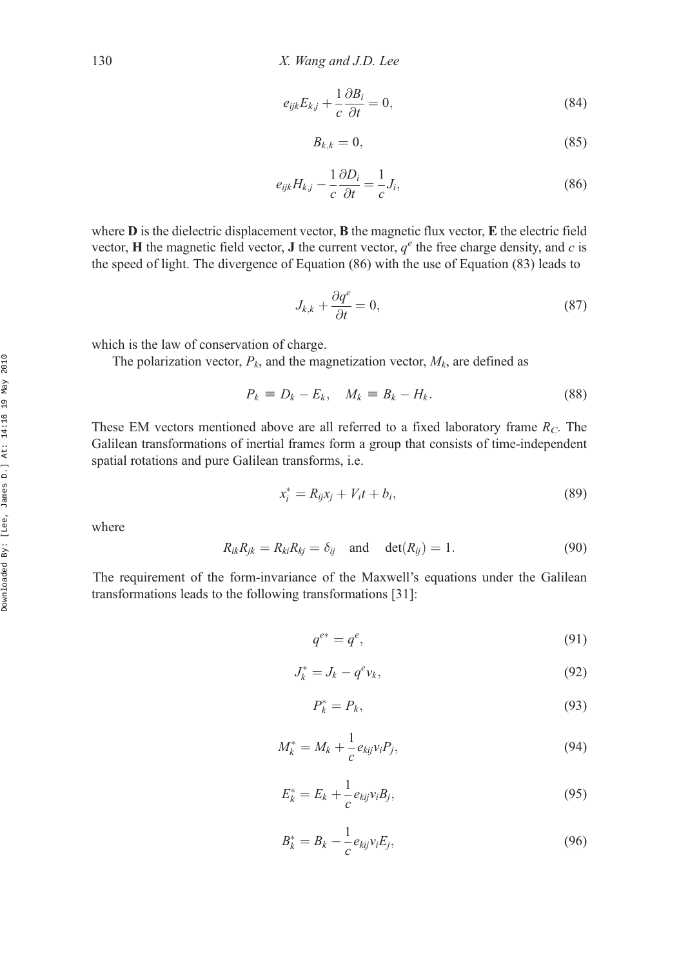$$
e_{ijk}E_{k,j} + \frac{1}{c}\frac{\partial B_i}{\partial t} = 0, \tag{84}
$$

$$
B_{k,k} = 0,\t\t(85)
$$

$$
e_{ijk}H_{k,j} - \frac{1}{c}\frac{\partial D_i}{\partial t} = \frac{1}{c}J_i,\tag{86}
$$

where  **is the dielectric displacement vector,**  $**B**$  **the magnetic flux vector,**  $**E**$  **the electric field** vector, **H** the magnetic field vector, **J** the current vector,  $q^e$  the free charge density, and c is the speed of light. The divergence of Equation (86) with the use of Equation (83) leads to

$$
J_{k,k} + \frac{\partial q^e}{\partial t} = 0,\tag{87}
$$

which is the law of conservation of charge.

The polarization vector,  $P_k$ , and the magnetization vector,  $M_k$ , are defined as

$$
P_k \equiv D_k - E_k, \quad M_k \equiv B_k - H_k. \tag{88}
$$

These EM vectors mentioned above are all referred to a fixed laboratory frame  $R_C$ . The Galilean transformations of inertial frames form a group that consists of time-independent spatial rotations and pure Galilean transforms, i.e.

$$
x_i^* = R_{ij}x_j + V_it + b_i,\tag{89}
$$

where

$$
R_{ik}R_{jk} = R_{ki}R_{kj} = \delta_{ij} \quad \text{and} \quad \det(R_{ij}) = 1. \tag{90}
$$

The requirement of the form-invariance of the Maxwell's equations under the Galilean transformations leads to the following transformations [31]:

$$
q^{e*} = q^e,\tag{91}
$$

$$
J_k^* = J_k - q^e v_k,\tag{92}
$$

$$
P_k^* = P_k,\tag{93}
$$

$$
M_k^* = M_k + \frac{1}{c} e_{kij} v_i P_j,
$$
\n
$$
(94)
$$

$$
E_k^* = E_k + \frac{1}{c} e_{kij} v_i B_j,
$$
\n
$$
(95)
$$

$$
B_k^* = B_k - \frac{1}{c} e_{kij} v_i E_j,
$$
\n(96)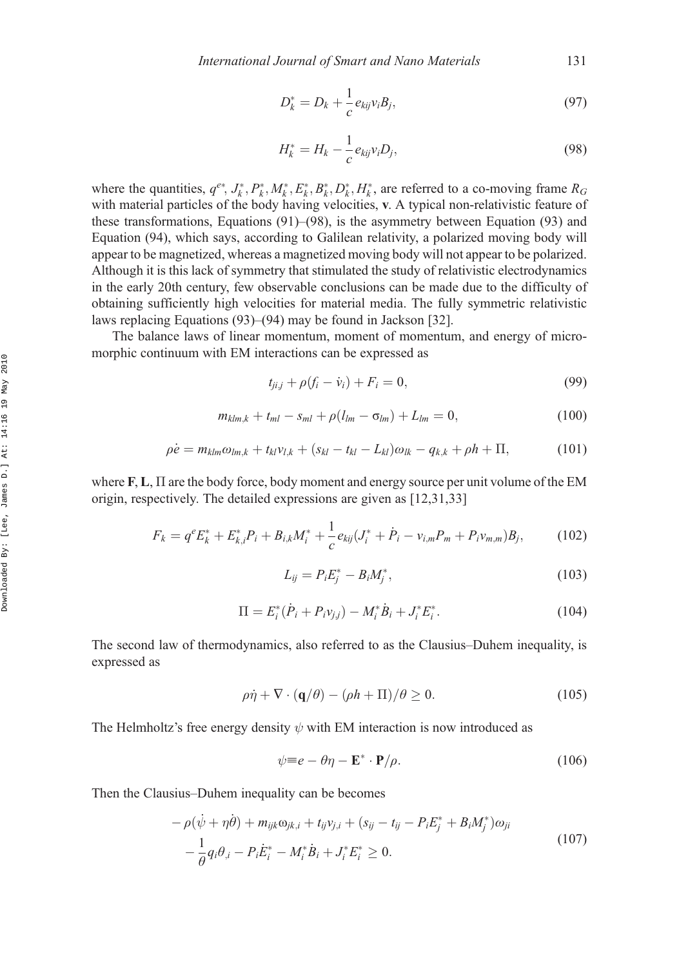$$
D_k^* = D_k + \frac{1}{c} e_{kij} v_i B_j,
$$
\n(97)

$$
H_k^* = H_k - \frac{1}{c} e_{kij} v_i D_j,
$$
\n(98)

where the quantities,  $q^{e*}, J_k^*, P_k^*, M_k^*, E_k^*, B_k^*, D_k^*, H_k^*$ , are referred to a co-moving frame  $R_G$ with material particles of the body having velocities, v. A typical non-relativistic feature of these transformations, Equations (91)–(98), is the asymmetry between Equation (93) and Equation (94), which says, according to Galilean relativity, a polarized moving body will appear to be magnetized, whereas a magnetized moving body will not appear to be polarized. Although it is this lack of symmetry that stimulated the study of relativistic electrodynamics in the early 20th century, few observable conclusions can be made due to the difficulty of obtaining sufficiently high velocities for material media. The fully symmetric relativistic laws replacing Equations (93)–(94) may be found in Jackson [32].

The balance laws of linear momentum, moment of momentum, and energy of micromorphic continuum with EM interactions can be expressed as

$$
t_{ji,j} + \rho(f_i - \dot{v}_i) + F_i = 0,
$$
\n(99)

$$
m_{klm,k} + t_{ml} - s_{ml} + \rho(l_{lm} - \sigma_{lm}) + L_{lm} = 0, \qquad (100)
$$

$$
\rho \dot{e} = m_{klm} \omega_{lm,k} + t_{kl} v_{l,k} + (s_{kl} - t_{kl} - L_{kl}) \omega_{lk} - q_{k,k} + \rho h + \Pi, \tag{101}
$$

where  $\mathbf{F}, \mathbf{L}, \Pi$  are the body force, body moment and energy source per unit volume of the EM origin, respectively. The detailed expressions are given as [12,31,33]

$$
F_k = q^e E_k^* + E_{k,i}^* P_i + B_{i,k} M_i^* + \frac{1}{c} e_{kij} (J_i^* + \dot{P}_i - v_{i,m} P_m + P_i v_{m,m}) B_j, \qquad (102)
$$

$$
L_{ij} = P_i E_j^* - B_i M_j^*,\tag{103}
$$

$$
\Pi = E_i^* (\dot{P}_i + P_i v_{j,j}) - M_i^* \dot{B}_i + J_i^* E_i^*.
$$
 (104)

The second law of thermodynamics, also referred to as the Clausius–Duhem inequality, is expressed as

$$
\rho \dot{\eta} + \nabla \cdot (\mathbf{q}/\theta) - (\rho h + \Pi)/\theta \ge 0. \tag{105}
$$

The Helmholtz's free energy density  $\psi$  with EM interaction is now introduced as

$$
\psi \equiv e - \theta \eta - \mathbf{E}^* \cdot \mathbf{P}/\rho. \tag{106}
$$

Then the Clausius–Duhem inequality can be becomes

$$
- \rho(\dot{\psi} + \eta \dot{\theta}) + m_{ijk}\omega_{jk,i} + t_{ij}\nu_{j,i} + (s_{ij} - t_{ij} - P_i E_j^* + B_i M_j^*)\omega_{ji}
$$
  

$$
- \frac{1}{\theta}q_i\theta_{,i} - P_i \dot{E}_i^* - M_i^* \dot{B}_i + J_i^* E_i^* \ge 0.
$$
 (107)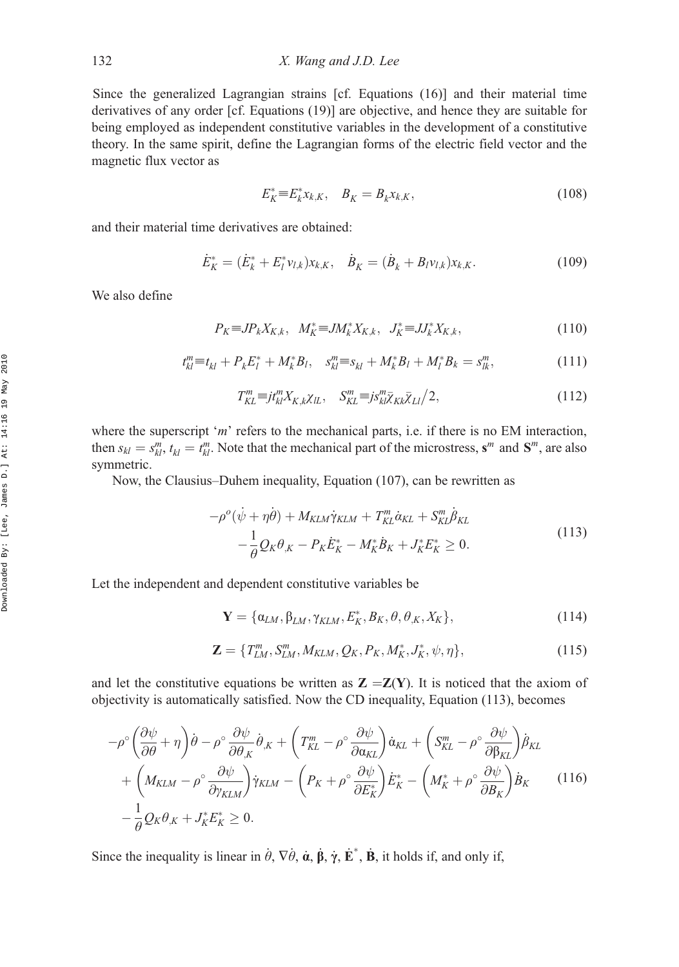Since the generalized Lagrangian strains [cf. Equations (16)] and their material time derivatives of any order [cf. Equations (19)] are objective, and hence they are suitable for being employed as independent constitutive variables in the development of a constitutive theory. In the same spirit, define the Lagrangian forms of the electric field vector and the magnetic flux vector as

$$
E_K^* = E_k^* x_{k,K}, \quad B_K = B_k x_{k,K}, \tag{108}
$$

and their material time derivatives are obtained:

$$
\dot{E}_K^* = (\dot{E}_k^* + E_l^* \nu_{l,k}) x_{k,K}, \quad \dot{B}_K = (\dot{B}_k + B_l \nu_{l,k}) x_{k,K}.
$$
\n(109)

We also define

$$
P_K = J P_k X_{K,k}, \quad M_K^* = J M_k^* X_{K,k}, \quad J_K^* = J J_k^* X_{K,k}, \tag{110}
$$

$$
t_{kl}^m \equiv t_{kl} + P_k E_l^* + M_k^* B_l, \quad s_{kl}^m \equiv s_{kl} + M_k^* B_l + M_l^* B_k = s_{lk}^m,
$$
 (111)

$$
T_{KL}^m \equiv j t_{kl}^m X_{K,k} \chi_{LL}, \quad S_{KL}^m \equiv j s_{kl}^m \overline{\chi}_{Kk} \overline{\chi}_{Ll} / 2, \tag{112}
$$

where the superscript 'm' refers to the mechanical parts, i.e. if there is no EM interaction, then  $s_{kl} = s_{kl}^m$ ,  $t_{kl} = t_{kl}^m$ . Note that the mechanical part of the microstress,  $\mathbf{s}^m$  and  $\mathbf{S}^m$ , are also symmetric symmetric.

Now, the Clausius–Duhem inequality, Equation (107), can be rewritten as

$$
-\rho^{o}(\dot{\psi} + \eta \dot{\theta}) + M_{KLM}\dot{\gamma}_{KLM} + T_{KL}^{m}\dot{\alpha}_{KL} + S_{KL}^{m}\dot{\beta}_{KL} - \frac{1}{\theta}Q_{K}\theta_{,K} - P_{K}\dot{E}_{K}^{*} - M_{K}^{*}\dot{B}_{K} + J_{K}^{*}E_{K}^{*} \ge 0.
$$
\n(113)

Let the independent and dependent constitutive variables be

$$
\mathbf{Y} = \{ \alpha_{LM}, \beta_{LM}, \gamma_{KLM}, E_K^*, B_K, \theta, \theta_K, X_K \},\tag{114}
$$

$$
\mathbf{Z} = \{T_{LM}^m, S_{LM}^m, M_{KLM}, Q_K, P_K, M_K^*, J_K^*, \psi, \eta\},\tag{115}
$$

and let the constitutive equations be written as  $\mathbf{Z} = \mathbf{Z}(Y)$ . It is noticed that the axiom of objectivity is automatically satisfied. Now the CD inequality, Equation (113), becomes

$$
-\rho^{\circ}\left(\frac{\partial\psi}{\partial\theta}+\eta\right)\dot{\theta}-\rho^{\circ}\frac{\partial\psi}{\partial\theta_{,K}}\dot{\theta}_{,K}+\left(T_{KL}^{m}-\rho^{\circ}\frac{\partial\psi}{\partial\alpha_{KL}}\right)\dot{\alpha}_{KL}+\left(S_{KL}^{m}-\rho^{\circ}\frac{\partial\psi}{\partial\beta_{KL}}\right)\dot{\beta}_{KL} +\left(M_{KLM}-\rho^{\circ}\frac{\partial\psi}{\partial\gamma_{KLM}}\right)\dot{\gamma}_{KLM}-\left(P_{K}+\rho^{\circ}\frac{\partial\psi}{\partial E_{K}^{*}}\right)\dot{E}_{K}^{*}-\left(M_{K}^{*}+\rho^{\circ}\frac{\partial\psi}{\partial B_{K}}\right)\dot{B}_{K}
$$
(116)  

$$
-\frac{1}{\theta}Q_{K}\theta_{,K}+J_{K}^{*}\dot{E}_{K}^{*}\geq 0.
$$

Since the inequality is linear in  $\dot{\theta}$ ,  $\nabla \dot{\theta}$ ,  $\dot{\alpha}$ ,  $\dot{\beta}$ ,  $\dot{\gamma}$ ,  $\dot{E}^*$ ,  $\dot{B}$ , it holds if, and only if,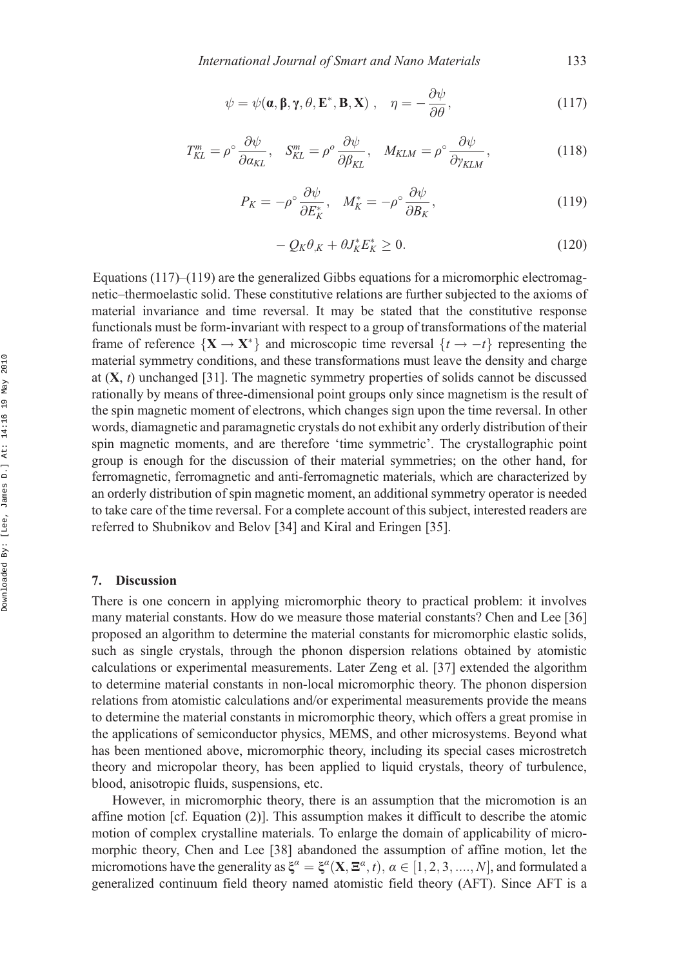$$
\psi = \psi(\mathbf{\alpha}, \mathbf{\beta}, \gamma, \theta, \mathbf{E}^*, \mathbf{B}, \mathbf{X}), \quad \eta = -\frac{\partial \psi}{\partial \theta}, \tag{117}
$$

$$
T_{KL}^m = \rho^\circ \frac{\partial \psi}{\partial \alpha_{KL}}, \quad S_{KL}^m = \rho^\circ \frac{\partial \psi}{\partial \beta_{KL}}, \quad M_{KLM} = \rho^\circ \frac{\partial \psi}{\partial \gamma_{KLM}}, \tag{118}
$$

$$
P_K = -\rho^\circ \frac{\partial \psi}{\partial E_K^*}, \quad M_K^* = -\rho^\circ \frac{\partial \psi}{\partial B_K},\tag{119}
$$

$$
-\mathcal{Q}_K \theta_{,K} + \theta J_K^* E_K^* \ge 0. \tag{120}
$$

Equations  $(117)$ – $(119)$  are the generalized Gibbs equations for a micromorphic electromagnetic–thermoelastic solid. These constitutive relations are further subjected to the axioms of material invariance and time reversal. It may be stated that the constitutive response functionals must be form-invariant with respect to a group of transformations of the material frame of reference  $\{X \rightarrow X^*\}$  and microscopic time reversal  $\{t \rightarrow -t\}$  representing the material symmetry conditions, and these transformations must leave the density and charge material symmetry conditions, and these transformations must leave the density and charge at  $(X, t)$  unchanged [31]. The magnetic symmetry properties of solids cannot be discussed rationally by means of three-dimensional point groups only since magnetism is the result of the spin magnetic moment of electrons, which changes sign upon the time reversal. In other words, diamagnetic and paramagnetic crystals do not exhibit any orderly distribution of their spin magnetic moments, and are therefore 'time symmetric'. The crystallographic point group is enough for the discussion of their material symmetries; on the other hand, for ferromagnetic, ferromagnetic and anti-ferromagnetic materials, which are characterized by an orderly distribution of spin magnetic moment, an additional symmetry operator is needed to take care of the time reversal. For a complete account of this subject, interested readers are referred to Shubnikov and Belov [34] and Kiral and Eringen [35].

#### 7. Discussion

There is one concern in applying micromorphic theory to practical problem: it involves many material constants. How do we measure those material constants? Chen and Lee [36] proposed an algorithm to determine the material constants for micromorphic elastic solids, such as single crystals, through the phonon dispersion relations obtained by atomistic calculations or experimental measurements. Later Zeng et al. [37] extended the algorithm to determine material constants in non-local micromorphic theory. The phonon dispersion relations from atomistic calculations and/or experimental measurements provide the means to determine the material constants in micromorphic theory, which offers a great promise in the applications of semiconductor physics, MEMS, and other microsystems. Beyond what has been mentioned above, micromorphic theory, including its special cases microstretch theory and micropolar theory, has been applied to liquid crystals, theory of turbulence, blood, anisotropic fluids, suspensions, etc.

However, in micromorphic theory, there is an assumption that the micromotion is an affine motion [cf. Equation (2)]. This assumption makes it difficult to describe the atomic motion of complex crystalline materials. To enlarge the domain of applicability of micromorphic theory, Chen and Lee [38] abandoned the assumption of affine motion, let the micromotions have the generality as  $\xi^{\alpha} = \xi^{\alpha}(\mathbf{X}, \Xi^{\alpha}, t)$ ,  $\alpha \in [1, 2, 3, ..., N]$ , and formulated a<br>generalized continuum field theory named atomistic field theory (AET). Since AET is a generalized continuum field theory named atomistic field theory (AFT). Since AFT is a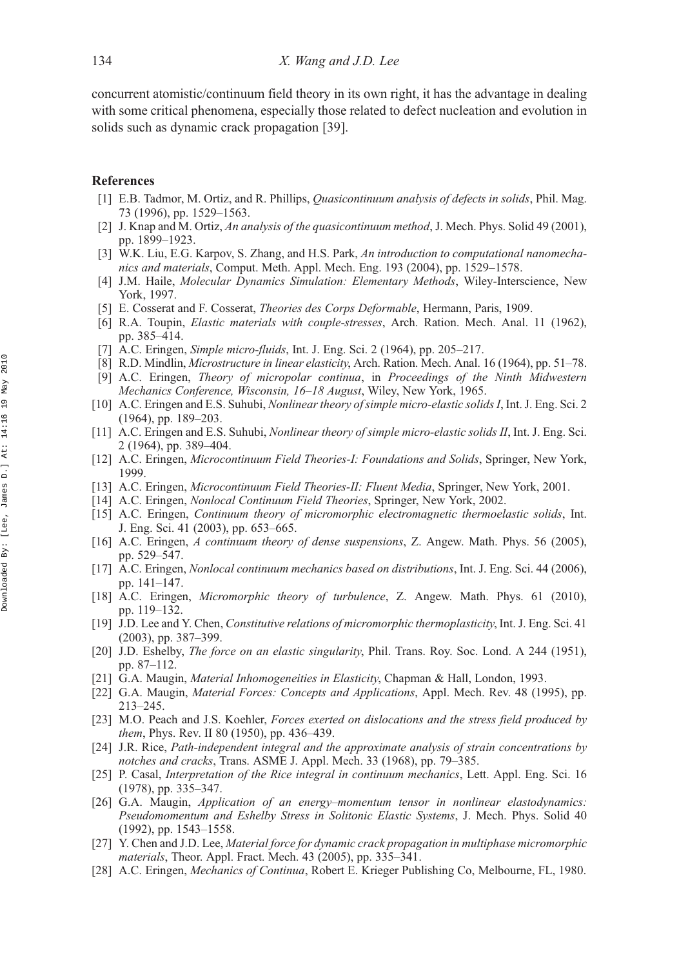concurrent atomistic/continuum field theory in its own right, it has the advantage in dealing with some critical phenomena, especially those related to defect nucleation and evolution in solids such as dynamic crack propagation [39].

#### References

- [1] E.B. Tadmor, M. Ortiz, and R. Phillips, Quasicontinuum analysis of defects in solids, Phil. Mag. 73 (1996), pp. 1529–1563.
- [2] J. Knap and M. Ortiz, An analysis of the quasicontinuum method, J. Mech. Phys. Solid 49 (2001), pp. 1899–1923.
- [3] W.K. Liu, E.G. Karpov, S. Zhang, and H.S. Park, An introduction to computational nanomechanics and materials, Comput. Meth. Appl. Mech. Eng. 193 (2004), pp. 1529–1578.
- [4] J.M. Haile, Molecular Dynamics Simulation: Elementary Methods, Wiley-Interscience, New York, 1997.
- [5] E. Cosserat and F. Cosserat, Theories des Corps Deformable, Hermann, Paris, 1909.
- [6] R.A. Toupin, *Elastic materials with couple-stresses*, Arch. Ration. Mech. Anal. 11 (1962), pp. 385–414.
- [7] A.C. Eringen, *Simple micro-fluids*, Int. J. Eng. Sci. 2 (1964), pp. 205–217.
- [8] R.D. Mindlin, *Microstructure in linear elasticity*, Arch. Ration. Mech. Anal. 16 (1964), pp. 51–78.
- [9] A.C. Eringen, Theory of micropolar continua, in Proceedings of the Ninth Midwestern Mechanics Conference, Wisconsin, 16–18 August, Wiley, New York, 1965.
- [10] A.C. Eringen and E.S. Suhubi, Nonlinear theory of simple micro-elastic solids I, Int. J. Eng. Sci. 2 (1964), pp. 189–203.
- [11] A.C. Eringen and E.S. Suhubi, Nonlinear theory of simple micro-elastic solids II, Int. J. Eng. Sci. 2 (1964), pp. 389–404.
- [12] A.C. Eringen, Microcontinuum Field Theories-I: Foundations and Solids, Springer, New York, 1999.
- [13] A.C. Eringen, Microcontinuum Field Theories-II: Fluent Media, Springer, New York, 2001.
- [14] A.C. Eringen, Nonlocal Continuum Field Theories, Springer, New York, 2002.
- [15] A.C. Eringen, Continuum theory of micromorphic electromagnetic thermoelastic solids, Int. J. Eng. Sci. 41 (2003), pp. 653–665.
- [16] A.C. Eringen, A continuum theory of dense suspensions, Z. Angew. Math. Phys. 56 (2005), pp. 529–547.
- [17] A.C. Eringen, Nonlocal continuum mechanics based on distributions, Int. J. Eng. Sci. 44 (2006), pp. 141–147.
- [18] A.C. Eringen, *Micromorphic theory of turbulence*, Z. Angew. Math. Phys. 61 (2010), pp. 119–132.
- [19] J.D. Lee and Y. Chen, Constitutive relations of micromorphic thermoplasticity, Int. J. Eng. Sci. 41 (2003), pp. 387–399.
- [20] J.D. Eshelby, *The force on an elastic singularity*, Phil. Trans. Roy. Soc. Lond. A 244 (1951), pp. 87–112.
- [21] G.A. Maugin, Material Inhomogeneities in Elasticity, Chapman & Hall, London, 1993.
- [22] G.A. Maugin, Material Forces: Concepts and Applications, Appl. Mech. Rev. 48 (1995), pp. 213–245.
- [23] M.O. Peach and J.S. Koehler, Forces exerted on dislocations and the stress field produced by them, Phys. Rev. II 80 (1950), pp. 436–439.
- [24] J.R. Rice, Path-independent integral and the approximate analysis of strain concentrations by notches and cracks, Trans. ASME J. Appl. Mech. 33 (1968), pp. 79–385.
- [25] P. Casal, *Interpretation of the Rice integral in continuum mechanics*, Lett. Appl. Eng. Sci. 16 (1978), pp. 335–347.
- [26] G.A. Maugin, Application of an energy–momentum tensor in nonlinear elastodynamics: Pseudomomentum and Eshelby Stress in Solitonic Elastic Systems, J. Mech. Phys. Solid 40 (1992), pp. 1543–1558.
- [27] Y. Chen and J.D. Lee, Material force for dynamic crack propagation in multiphase micromorphic materials, Theor. Appl. Fract. Mech. 43 (2005), pp. 335–341.
- [28] A.C. Eringen, Mechanics of Continua, Robert E. Krieger Publishing Co, Melbourne, FL, 1980.